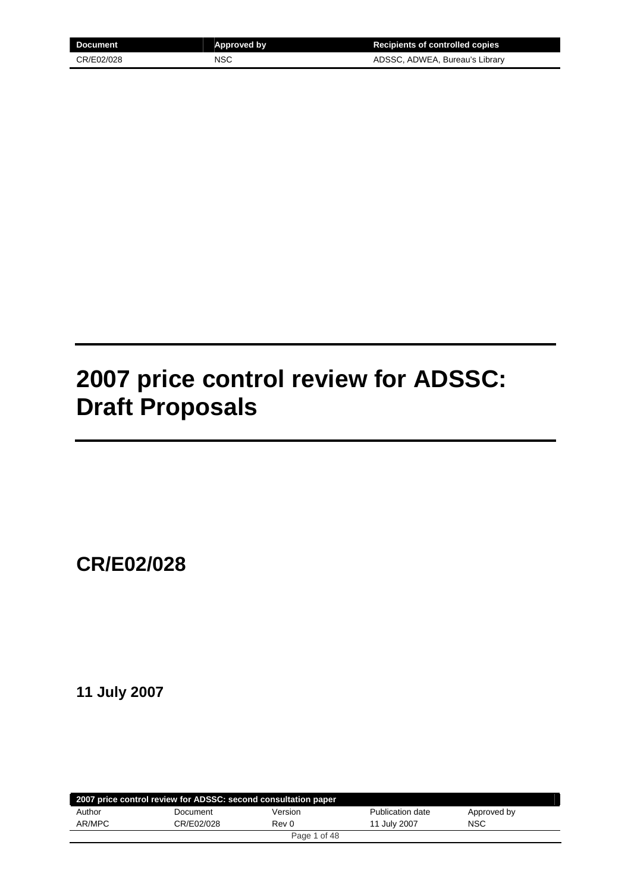| Document   | Approved by | <b>Recipients of controlled copies</b> |
|------------|-------------|----------------------------------------|
| CR/E02/028 | <b>NSC</b>  | ADSSC, ADWEA, Bureau's Library         |

# **2007 price control review for ADSSC: Draft Proposals**

**CR/E02/028** 

**11 July 2007** 

|        | 2007 price control review for ADSSC: second consultation paper |              |                  |             |
|--------|----------------------------------------------------------------|--------------|------------------|-------------|
| Author | Document                                                       | Version      | Publication date | Approved by |
| AR/MPC | CR/E02/028                                                     | Rev 0        | 11 July 2007     | NSC         |
|        |                                                                | Page 1 of 48 |                  |             |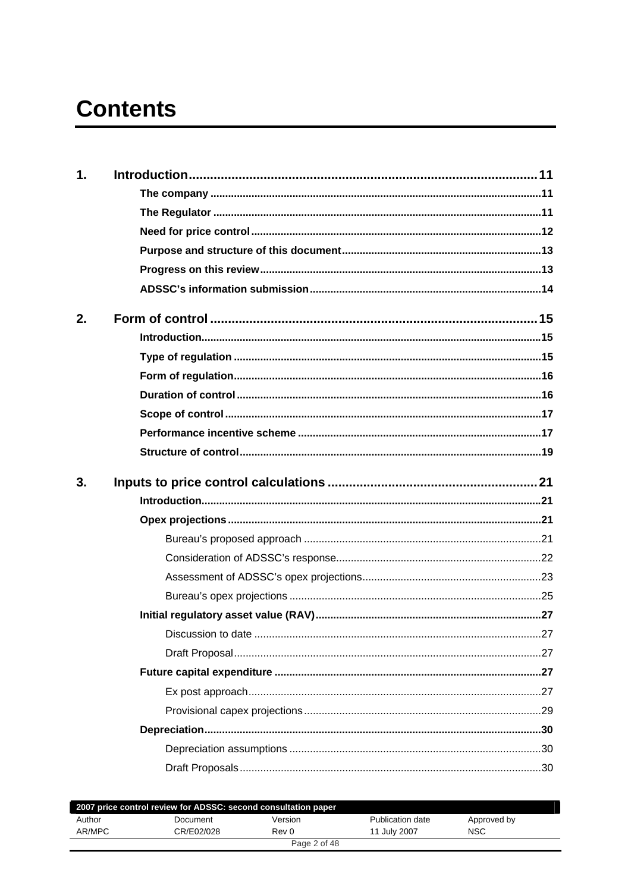# **Contents**

| 1. |  |
|----|--|
|    |  |
|    |  |
|    |  |
|    |  |
|    |  |
|    |  |
| 2. |  |
|    |  |
|    |  |
|    |  |
|    |  |
|    |  |
|    |  |
|    |  |
|    |  |
| 3. |  |
|    |  |
|    |  |
|    |  |
|    |  |
|    |  |
|    |  |
|    |  |
|    |  |
|    |  |
|    |  |
|    |  |
|    |  |
|    |  |
|    |  |

|        | 2007 price control review for ADSSC: second consultation paper |              |                  |             |
|--------|----------------------------------------------------------------|--------------|------------------|-------------|
| Author | Document                                                       | Version      | Publication date | Approved by |
| AR/MPC | CR/E02/028                                                     | Rev 0        | 11 July 2007     | <b>NSC</b>  |
|        |                                                                | Page 2 of 48 |                  |             |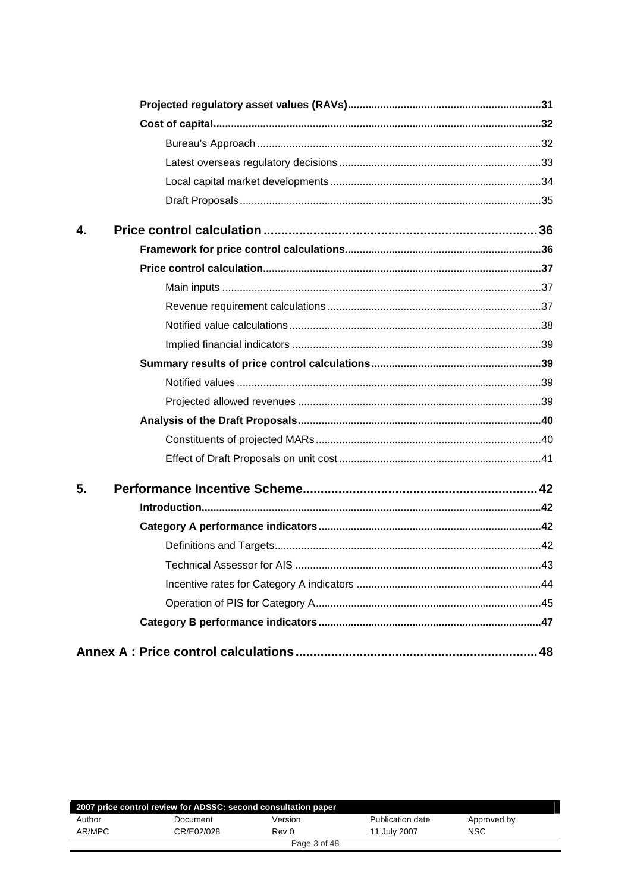| 4. |  |
|----|--|
|    |  |
|    |  |
|    |  |
|    |  |
|    |  |
|    |  |
|    |  |
|    |  |
|    |  |
|    |  |
|    |  |
|    |  |
| 5. |  |
|    |  |
|    |  |
|    |  |
|    |  |
|    |  |
|    |  |
|    |  |
|    |  |

|        | 2007 price control review for ADSSC: second consultation paper |              |                  |             |  |
|--------|----------------------------------------------------------------|--------------|------------------|-------------|--|
| Author | Document                                                       | Version      | Publication date | Approved by |  |
| AR/MPC | CR/E02/028                                                     | Rev 0        | 11 July 2007     | <b>NSC</b>  |  |
|        |                                                                | Page 3 of 48 |                  |             |  |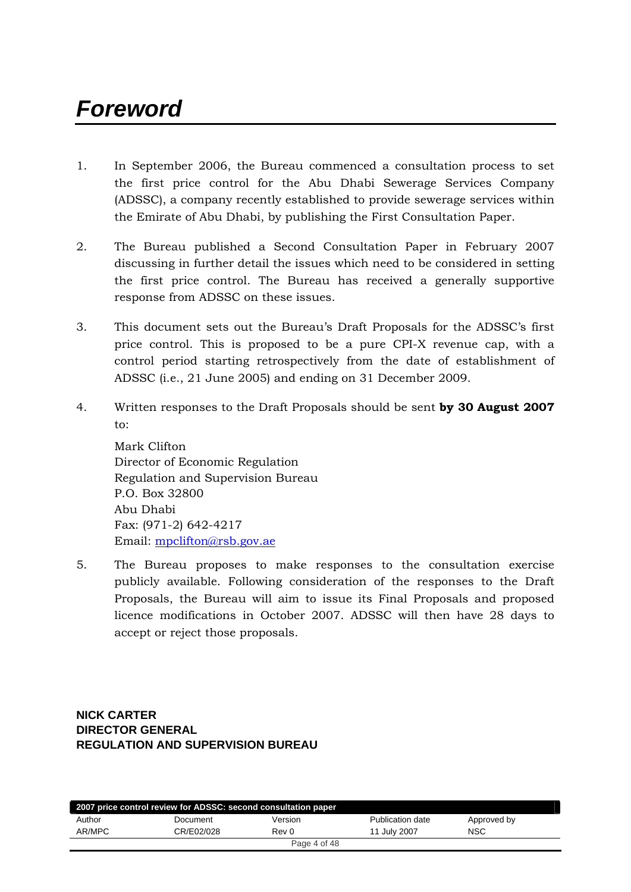# *Foreword*

- 1. In September 2006, the Bureau commenced a consultation process to set the first price control for the Abu Dhabi Sewerage Services Company (ADSSC), a company recently established to provide sewerage services within the Emirate of Abu Dhabi, by publishing the First Consultation Paper.
- 2. The Bureau published a Second Consultation Paper in February 2007 discussing in further detail the issues which need to be considered in setting the first price control. The Bureau has received a generally supportive response from ADSSC on these issues.
- 3. This document sets out the Bureau's Draft Proposals for the ADSSC's first price control. This is proposed to be a pure CPI-X revenue cap, with a control period starting retrospectively from the date of establishment of ADSSC (i.e., 21 June 2005) and ending on 31 December 2009.
- 4. Written responses to the Draft Proposals should be sent **by 30 August 2007** to:

Mark Clifton Director of Economic Regulation Regulation and Supervision Bureau P.O. Box 32800 Abu Dhabi Fax: (971-2) 642-4217 Email: [mpclifton@rsb.gov.ae](mailto:mpclifton@rsb.gov.ae)

5. The Bureau proposes to make responses to the consultation exercise publicly available. Following consideration of the responses to the Draft Proposals, the Bureau will aim to issue its Final Proposals and proposed licence modifications in October 2007. ADSSC will then have 28 days to accept or reject those proposals.

**NICK CARTER DIRECTOR GENERAL REGULATION AND SUPERVISION BUREAU**

|        | 2007 price control review for ADSSC: second consultation paper |              |                  |             |  |
|--------|----------------------------------------------------------------|--------------|------------------|-------------|--|
| Author | Document                                                       | Version      | Publication date | Approved by |  |
| AR/MPC | CR/E02/028                                                     | Rev 0        | 11 July 2007     | <b>NSC</b>  |  |
|        |                                                                | Page 4 of 48 |                  |             |  |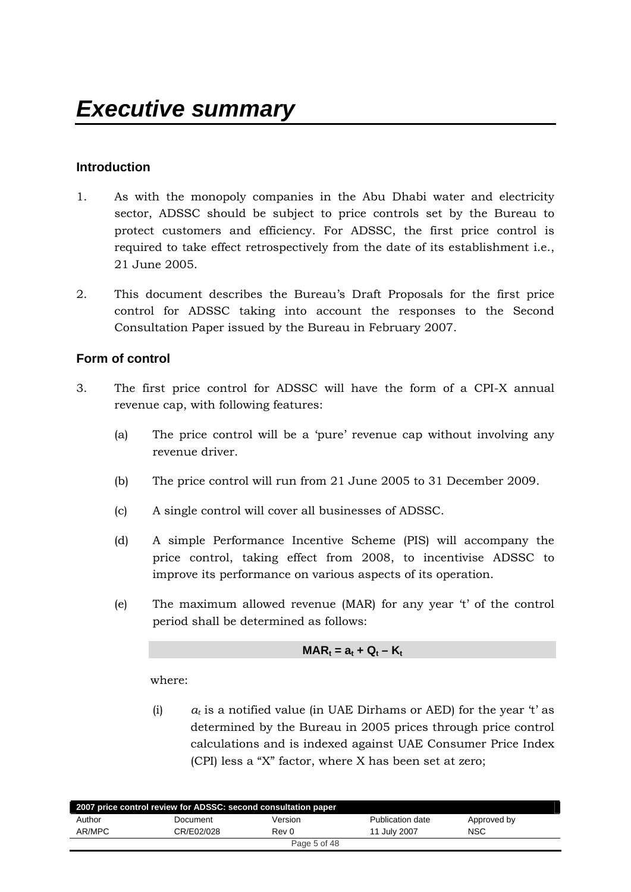# **Introduction**

- 1. As with the monopoly companies in the Abu Dhabi water and electricity sector, ADSSC should be subject to price controls set by the Bureau to protect customers and efficiency. For ADSSC, the first price control is required to take effect retrospectively from the date of its establishment i.e., 21 June 2005.
- 2. This document describes the Bureau's Draft Proposals for the first price control for ADSSC taking into account the responses to the Second Consultation Paper issued by the Bureau in February 2007.

# **Form of control**

- 3. The first price control for ADSSC will have the form of a CPI-X annual revenue cap, with following features:
	- (a) The price control will be a 'pure' revenue cap without involving any revenue driver.
	- (b) The price control will run from 21 June 2005 to 31 December 2009.
	- (c) A single control will cover all businesses of ADSSC.
	- (d) A simple Performance Incentive Scheme (PIS) will accompany the price control, taking effect from 2008, to incentivise ADSSC to improve its performance on various aspects of its operation.
	- (e) The maximum allowed revenue (MAR) for any year 't' of the control period shall be determined as follows:

$$
MAR_t = a_t + Q_t - K_t
$$

where:

(i)  $a_t$  is a notified value (in UAE Dirhams or AED) for the year 't' as determined by the Bureau in 2005 prices through price control calculations and is indexed against UAE Consumer Price Index (CPI) less a "X" factor, where X has been set at zero;

|        | 2007 price control review for ADSSC: second consultation paper |              |                  |             |  |
|--------|----------------------------------------------------------------|--------------|------------------|-------------|--|
| Author | Document                                                       | Version      | Publication date | Approved by |  |
| AR/MPC | CR/E02/028                                                     | Rev 0        | 11 July 2007     | <b>NSC</b>  |  |
|        |                                                                | Page 5 of 48 |                  |             |  |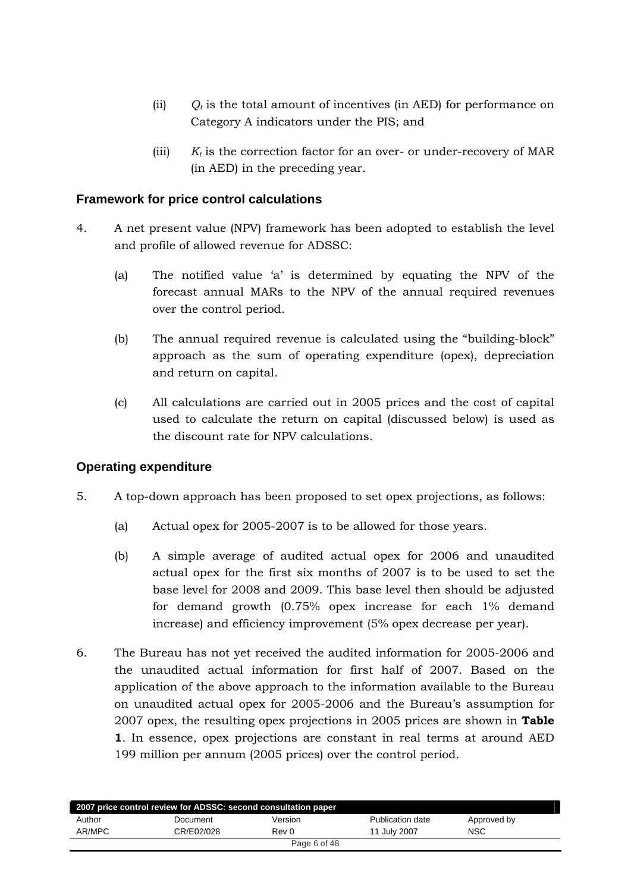- (ii)  $Q_t$  is the total amount of incentives (in AED) for performance on Category A indicators under the PIS; and
- (iii)  $K_t$  is the correction factor for an over- or under-recovery of MAR (in AED) in the preceding year.

# **Framework for price control calculations**

- 4. A net present value (NPV) framework has been adopted to establish the level and profile of allowed revenue for ADSSC:
	- (a) The notified value 'a' is determined by equating the NPV of the forecast annual MARs to the NPV of the annual required revenues over the control period.
	- (b) The annual required revenue is calculated using the "building-block" approach as the sum of operating expenditure (opex), depreciation and return on capital.
	- (c) All calculations are carried out in 2005 prices and the cost of capital used to calculate the return on capital (discussed below) is used as the discount rate for NPV calculations.

# **Operating expenditure**

- 5. A top-down approach has been proposed to set opex projections, as follows:
	- (a) Actual opex for 2005-2007 is to be allowed for those years.
	- (b) A simple average of audited actual opex for 2006 and unaudited actual opex for the first six months of 2007 is to be used to set the base level for 2008 and 2009. This base level then should be adjusted for demand growth (0.75% opex increase for each 1% demand increase) and efficiency improvement (5% opex decrease per year).
- 6. The Bureau has not yet received the audited information for 2005-2006 and the unaudited actual information for first half of 2007. Based on the application of the above approach to the information available to the Bureau on unaudited actual opex for 2005-2006 and the Bureau's assumption for 2007 opex, the resulting opex projections in 2005 prices are shown in **Table 1**. In essence, opex projections are constant in real terms at around AED 199 million per annum (2005 prices) over the control period.

|        | 2007 price control review for ADSSC: second consultation paper |              |                  |             |
|--------|----------------------------------------------------------------|--------------|------------------|-------------|
| Author | Document                                                       | Version      | Publication date | Approved by |
| AR/MPC | CR/E02/028                                                     | Rev 0        | 11 July 2007     | <b>NSC</b>  |
|        |                                                                | Page 6 of 48 |                  |             |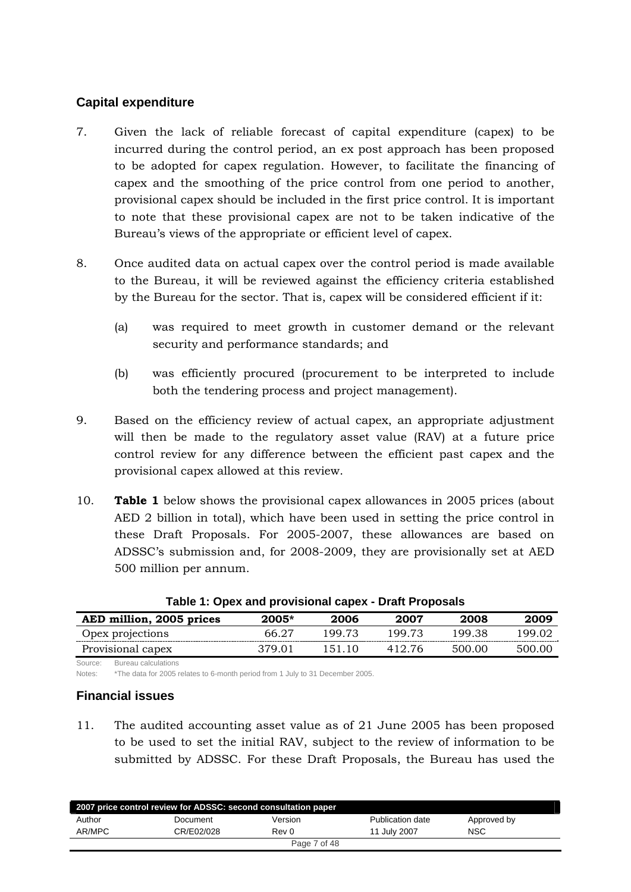# **Capital expenditure**

- 7. Given the lack of reliable forecast of capital expenditure (capex) to be incurred during the control period, an ex post approach has been proposed to be adopted for capex regulation. However, to facilitate the financing of capex and the smoothing of the price control from one period to another, provisional capex should be included in the first price control. It is important to note that these provisional capex are not to be taken indicative of the Bureau's views of the appropriate or efficient level of capex.
- 8. Once audited data on actual capex over the control period is made available to the Bureau, it will be reviewed against the efficiency criteria established by the Bureau for the sector. That is, capex will be considered efficient if it:
	- (a) was required to meet growth in customer demand or the relevant security and performance standards; and
	- (b) was efficiently procured (procurement to be interpreted to include both the tendering process and project management).
- 9. Based on the efficiency review of actual capex, an appropriate adjustment will then be made to the regulatory asset value (RAV) at a future price control review for any difference between the efficient past capex and the provisional capex allowed at this review.
- 10. **Table 1** below shows the provisional capex allowances in 2005 prices (about AED 2 billion in total), which have been used in setting the price control in these Draft Proposals. For 2005-2007, these allowances are based on ADSSC's submission and, for 2008-2009, they are provisionally set at AED 500 million per annum.

| AED million, 2005 prices | $2005*$ | 2006   | 2007   | 2008   | 2009   |
|--------------------------|---------|--------|--------|--------|--------|
| Opex projections         | 66 27   | 199 73 | 199.73 | 199.38 | 199.02 |
| Provisional capex        | 379 O1  | 151 10 | 412.76 | 500.00 | 500.00 |

| Table 1: Opex and provisional capex - Draft Proposals |  |
|-------------------------------------------------------|--|
|-------------------------------------------------------|--|

Source: Bureau calculations Notes: \*The data for 2005 relates to 6-month period from 1 July to 31 December 2005.

#### **Financial issues**

11. The audited accounting asset value as of 21 June 2005 has been proposed to be used to set the initial RAV, subject to the review of information to be submitted by ADSSC. For these Draft Proposals, the Bureau has used the

|        | 2007 price control review for ADSSC: second consultation paper |              |                  |             |  |
|--------|----------------------------------------------------------------|--------------|------------------|-------------|--|
| Author | Document                                                       | Version      | Publication date | Approved by |  |
| AR/MPC | CR/E02/028                                                     | Rev 0        | 11 July 2007     | <b>NSC</b>  |  |
|        |                                                                | Page 7 of 48 |                  |             |  |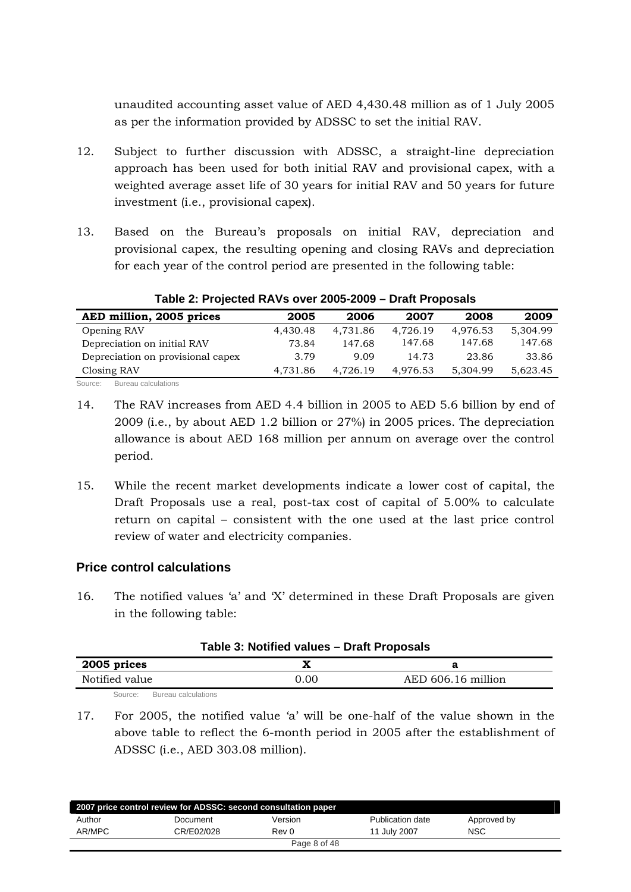unaudited accounting asset value of AED 4,430.48 million as of 1 July 2005 as per the information provided by ADSSC to set the initial RAV.

- 12. Subject to further discussion with ADSSC, a straight-line depreciation approach has been used for both initial RAV and provisional capex, with a weighted average asset life of 30 years for initial RAV and 50 years for future investment (i.e., provisional capex).
- 13. Based on the Bureau's proposals on initial RAV, depreciation and provisional capex, the resulting opening and closing RAVs and depreciation for each year of the control period are presented in the following table:

| AED million, 2005 prices          | 2005     | 2006     | 2007     | 2008     | 2009     |
|-----------------------------------|----------|----------|----------|----------|----------|
| Opening RAV                       | 4.430.48 | 4.731.86 | 4.726.19 | 4.976.53 | 5.304.99 |
| Depreciation on initial RAV       | 73.84    | 147.68   | 147.68   | 147.68   | 147.68   |
| Depreciation on provisional capex | 3.79     | 9.09     | 14.73    | 23.86    | 33.86    |
| Closing RAV                       | 4,731.86 | 4.726.19 | 4.976.53 | 5.304.99 | 5,623.45 |
|                                   |          |          |          |          |          |

#### **Table 2: Projected RAVs over 2005-2009 – Draft Proposals**

Source: Bureau calculations

- 14. The RAV increases from AED 4.4 billion in 2005 to AED 5.6 billion by end of 2009 (i.e., by about AED 1.2 billion or 27%) in 2005 prices. The depreciation allowance is about AED 168 million per annum on average over the control period.
- 15. While the recent market developments indicate a lower cost of capital, the Draft Proposals use a real, post-tax cost of capital of 5.00% to calculate return on capital – consistent with the one used at the last price control review of water and electricity companies.

# **Price control calculations**

16. The notified values 'a' and 'X' determined in these Draft Proposals are given in the following table:

| Table 3: Notified values – Draft Proposals |      |                    |  |  |
|--------------------------------------------|------|--------------------|--|--|
| 2005 prices                                |      |                    |  |  |
| Notified value                             | 0.00 | AED 606.16 million |  |  |
| Bureau calculations<br>Source:             |      |                    |  |  |

#### **Table 3: Notified values – Draft Proposals**

17. For 2005, the notified value 'a' will be one-half of the value shown in the above table to reflect the 6-month period in 2005 after the establishment of ADSSC (i.e., AED 303.08 million).

| 2007 price control review for ADSSC: second consultation paper |            |              |                  |             |
|----------------------------------------------------------------|------------|--------------|------------------|-------------|
| Author                                                         | Document   | Version      | Publication date | Approved by |
| AR/MPC                                                         | CR/E02/028 | Rev 0        | 11 July 2007     | <b>NSC</b>  |
|                                                                |            | Page 8 of 48 |                  |             |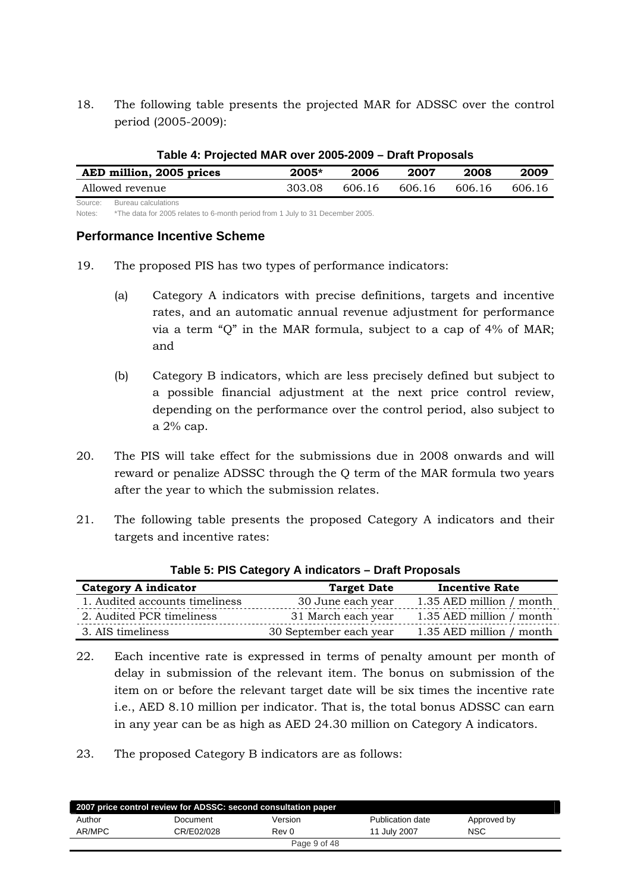18. The following table presents the projected MAR for ADSSC over the control period (2005-2009):

| Table 4: Projected MAR over 2005-2009 – Draft Proposals |         |        |        |        |        |  |
|---------------------------------------------------------|---------|--------|--------|--------|--------|--|
| AED million, 2005 prices                                | $2005*$ | 2006   | 2007   | 2008   | 2009   |  |
| Allowed revenue                                         | 303.08  | 606.16 | 606.16 | 606.16 | 606.16 |  |
| Bureau calculations<br>Source:                          |         |        |        |        |        |  |

#### **Table 4: Projected MAR over 2005-2009 – Draft Proposals**

Notes: \*The data for 2005 relates to 6-month period from 1 July to 31 December 2005.

#### **Performance Incentive Scheme**

- 19. The proposed PIS has two types of performance indicators:
	- (a) Category A indicators with precise definitions, targets and incentive rates, and an automatic annual revenue adjustment for performance via a term "Q" in the MAR formula, subject to a cap of 4% of MAR; and
	- (b) Category B indicators, which are less precisely defined but subject to a possible financial adjustment at the next price control review, depending on the performance over the control period, also subject to a 2% cap.
- 20. The PIS will take effect for the submissions due in 2008 onwards and will reward or penalize ADSSC through the Q term of the MAR formula two years after the year to which the submission relates.
- 21. The following table presents the proposed Category A indicators and their targets and incentive rates:

| <b>Category A indicator</b>    | <b>Target Date</b>     | <b>Incentive Rate</b>    |
|--------------------------------|------------------------|--------------------------|
| 1. Audited accounts timeliness | 30 June each year      | 1.35 AED million / month |
| 2. Audited PCR timeliness      | 31 March each year     | 1.35 AED million / month |
| 3. AIS timeliness              | 30 September each year | 1.35 AED million / month |

#### **Table 5: PIS Category A indicators – Draft Proposals**

22. Each incentive rate is expressed in terms of penalty amount per month of delay in submission of the relevant item. The bonus on submission of the item on or before the relevant target date will be six times the incentive rate i.e., AED 8.10 million per indicator. That is, the total bonus ADSSC can earn in any year can be as high as AED 24.30 million on Category A indicators.

23. The proposed Category B indicators are as follows:

| 2007 price control review for ADSSC: second consultation paper |            |              |                  |             |  |
|----------------------------------------------------------------|------------|--------------|------------------|-------------|--|
| Author                                                         | Document   | Version      | Publication date | Approved by |  |
| AR/MPC                                                         | CR/E02/028 | Rev 0        | 11 July 2007     | <b>NSC</b>  |  |
|                                                                |            | Page 9 of 48 |                  |             |  |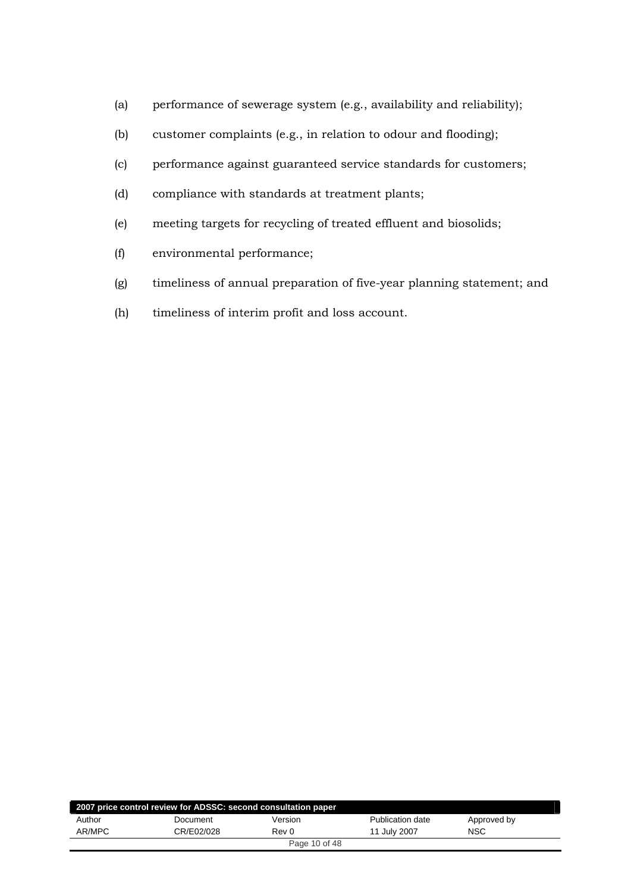- (a) performance of sewerage system (e.g., availability and reliability);
- (b) customer complaints (e.g., in relation to odour and flooding);
- (c) performance against guaranteed service standards for customers;
- (d) compliance with standards at treatment plants;
- (e) meeting targets for recycling of treated effluent and biosolids;
- (f) environmental performance;
- (g) timeliness of annual preparation of five-year planning statement; and
- (h) timeliness of interim profit and loss account.

| 2007 price control review for ADSSC: second consultation paper |            |               |                  |             |  |
|----------------------------------------------------------------|------------|---------------|------------------|-------------|--|
| Author                                                         | Document   | Version       | Publication date | Approved by |  |
| AR/MPC                                                         | CR/E02/028 | Rev 0         | 11 July 2007     | <b>NSC</b>  |  |
|                                                                |            | Page 10 of 48 |                  |             |  |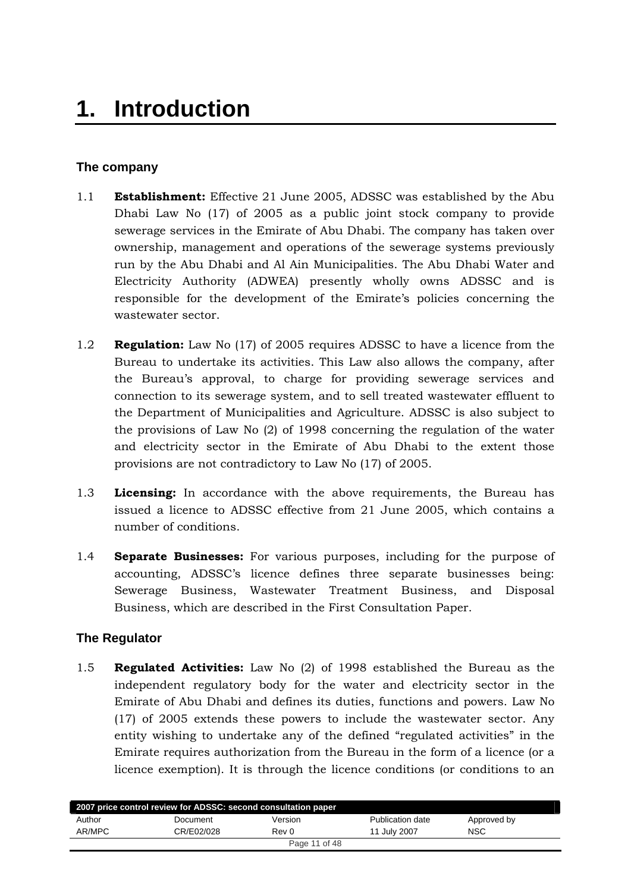# <span id="page-10-0"></span>**The company**

- 1.1 **Establishment:** Effective 21 June 2005, ADSSC was established by the Abu Dhabi Law No (17) of 2005 as a public joint stock company to provide sewerage services in the Emirate of Abu Dhabi. The company has taken over ownership, management and operations of the sewerage systems previously run by the Abu Dhabi and Al Ain Municipalities. The Abu Dhabi Water and Electricity Authority (ADWEA) presently wholly owns ADSSC and is responsible for the development of the Emirate's policies concerning the wastewater sector.
- 1.2 **Regulation:** Law No (17) of 2005 requires ADSSC to have a licence from the Bureau to undertake its activities. This Law also allows the company, after the Bureau's approval, to charge for providing sewerage services and connection to its sewerage system, and to sell treated wastewater effluent to the Department of Municipalities and Agriculture. ADSSC is also subject to the provisions of Law No (2) of 1998 concerning the regulation of the water and electricity sector in the Emirate of Abu Dhabi to the extent those provisions are not contradictory to Law No (17) of 2005.
- 1.3 **Licensing:** In accordance with the above requirements, the Bureau has issued a licence to ADSSC effective from 21 June 2005, which contains a number of conditions.
- 1.4 **Separate Businesses:** For various purposes, including for the purpose of accounting, ADSSC's licence defines three separate businesses being: Sewerage Business, Wastewater Treatment Business, and Disposal Business, which are described in the First Consultation Paper.

# **The Regulator**

1.5 **Regulated Activities:** Law No (2) of 1998 established the Bureau as the independent regulatory body for the water and electricity sector in the Emirate of Abu Dhabi and defines its duties, functions and powers. Law No (17) of 2005 extends these powers to include the wastewater sector. Any entity wishing to undertake any of the defined "regulated activities" in the Emirate requires authorization from the Bureau in the form of a licence (or a licence exemption). It is through the licence conditions (or conditions to an

| 2007 price control review for ADSSC: second consultation paper |            |         |                  |             |
|----------------------------------------------------------------|------------|---------|------------------|-------------|
| Author                                                         | Document   | Version | Publication date | Approved by |
| AR/MPC                                                         | CR/E02/028 | Rev 0   | 11 July 2007     | <b>NSC</b>  |
| Page 11 of 48                                                  |            |         |                  |             |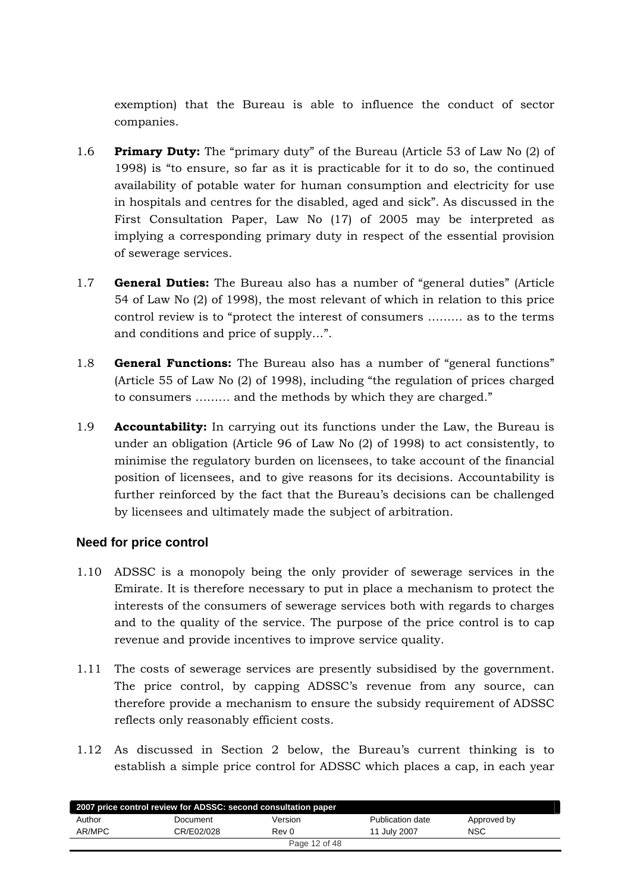<span id="page-11-0"></span>exemption) that the Bureau is able to influence the conduct of sector companies.

- 1.6 **Primary Duty:** The "primary duty" of the Bureau (Article 53 of Law No (2) of 1998) is "to ensure, so far as it is practicable for it to do so, the continued availability of potable water for human consumption and electricity for use in hospitals and centres for the disabled, aged and sick". As discussed in the First Consultation Paper, Law No (17) of 2005 may be interpreted as implying a corresponding primary duty in respect of the essential provision of sewerage services.
- 1.7 **General Duties:** The Bureau also has a number of "general duties" (Article 54 of Law No (2) of 1998), the most relevant of which in relation to this price control review is to "protect the interest of consumers ……… as to the terms and conditions and price of supply…".
- 1.8 **General Functions:** The Bureau also has a number of "general functions" (Article 55 of Law No (2) of 1998), including "the regulation of prices charged to consumers ……… and the methods by which they are charged."
- 1.9 **Accountability:** In carrying out its functions under the Law, the Bureau is under an obligation (Article 96 of Law No (2) of 1998) to act consistently, to minimise the regulatory burden on licensees, to take account of the financial position of licensees, and to give reasons for its decisions. Accountability is further reinforced by the fact that the Bureau's decisions can be challenged by licensees and ultimately made the subject of arbitration.

# **Need for price control**

- 1.10 ADSSC is a monopoly being the only provider of sewerage services in the Emirate. It is therefore necessary to put in place a mechanism to protect the interests of the consumers of sewerage services both with regards to charges and to the quality of the service. The purpose of the price control is to cap revenue and provide incentives to improve service quality.
- 1.11 The costs of sewerage services are presently subsidised by the government. The price control, by capping ADSSC's revenue from any source, can therefore provide a mechanism to ensure the subsidy requirement of ADSSC reflects only reasonably efficient costs.
- 1.12 As discussed in Section 2 below, the Bureau's current thinking is to establish a simple price control for ADSSC which places a cap, in each year

| 2007 price control review for ADSSC: second consultation paper |            |         |                  |             |  |
|----------------------------------------------------------------|------------|---------|------------------|-------------|--|
| Author                                                         | Document   | Version | Publication date | Approved by |  |
| AR/MPC                                                         | CR/E02/028 | Rev 0   | 11 July 2007     | <b>NSC</b>  |  |
| Page 12 of 48                                                  |            |         |                  |             |  |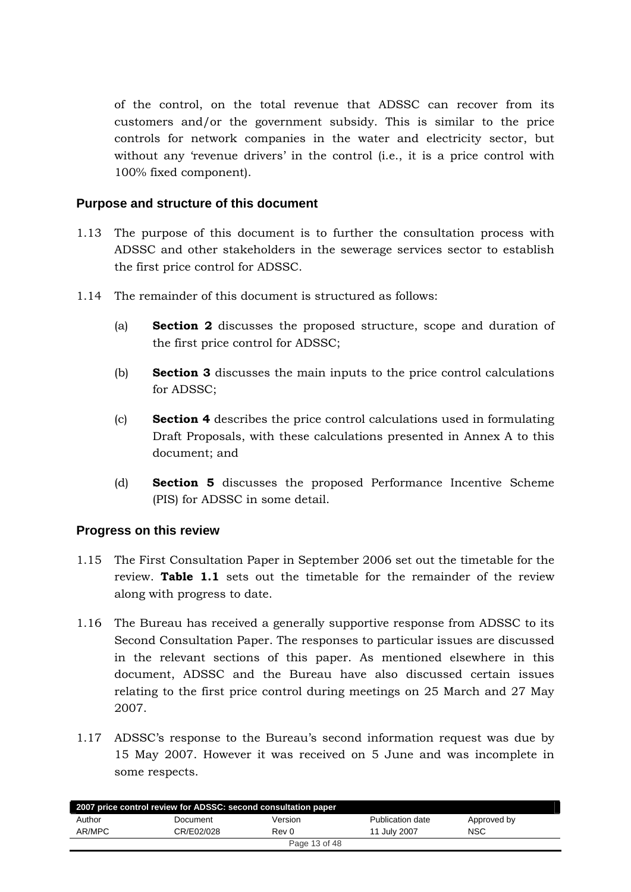<span id="page-12-0"></span>of the control, on the total revenue that ADSSC can recover from its customers and/or the government subsidy. This is similar to the price controls for network companies in the water and electricity sector, but without any 'revenue drivers' in the control (i.e., it is a price control with 100% fixed component).

# **Purpose and structure of this document**

- 1.13 The purpose of this document is to further the consultation process with ADSSC and other stakeholders in the sewerage services sector to establish the first price control for ADSSC.
- 1.14 The remainder of this document is structured as follows:
	- (a) **Section 2** discusses the proposed structure, scope and duration of the first price control for ADSSC;
	- (b) **Section 3** discusses the main inputs to the price control calculations for ADSSC;
	- (c) **Section 4** describes the price control calculations used in formulating Draft Proposals, with these calculations presented in Annex A to this document; and
	- (d) **Section 5** discusses the proposed Performance Incentive Scheme (PIS) for ADSSC in some detail.

# **Progress on this review**

- 1.15 The First Consultation Paper in September 2006 set out the timetable for the review. **[Table 1.1](#page-13-1)** sets out the timetable for the remainder of the review along with progress to date.
- 1.16 The Bureau has received a generally supportive response from ADSSC to its Second Consultation Paper. The responses to particular issues are discussed in the relevant sections of this paper. As mentioned elsewhere in this document, ADSSC and the Bureau have also discussed certain issues relating to the first price control during meetings on 25 March and 27 May 2007.
- 1.17 ADSSC's response to the Bureau's second information request was due by 15 May 2007. However it was received on 5 June and was incomplete in some respects.

| 2007 price control review for ADSSC: second consultation paper |            |               |                  |             |  |
|----------------------------------------------------------------|------------|---------------|------------------|-------------|--|
| Author                                                         | Document   | Version       | Publication date | Approved by |  |
| AR/MPC                                                         | CR/E02/028 | Rev 0         | 11 July 2007     | <b>NSC</b>  |  |
|                                                                |            | Page 13 of 48 |                  |             |  |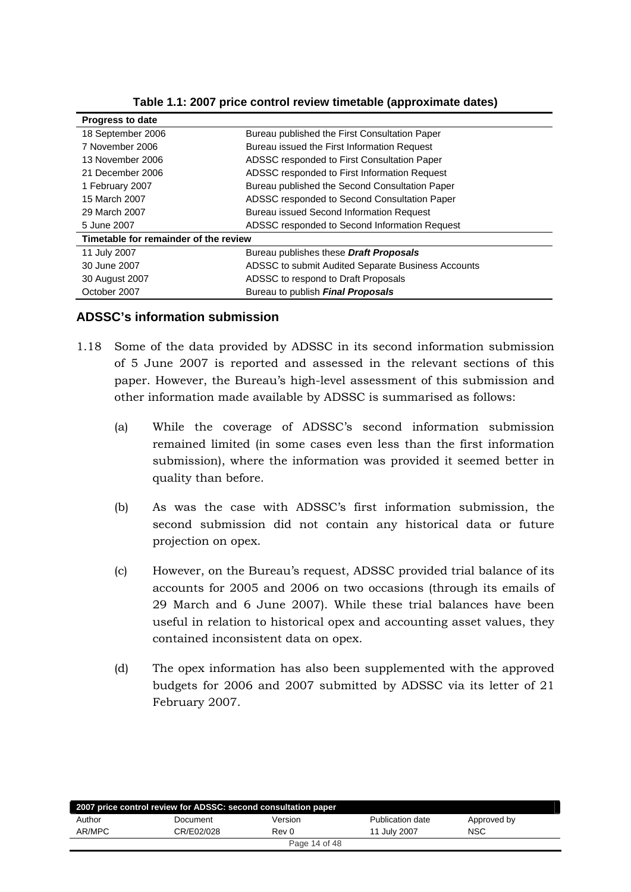<span id="page-13-1"></span><span id="page-13-0"></span>

| <b>Progress to date</b>               |                                                    |
|---------------------------------------|----------------------------------------------------|
| 18 September 2006                     | Bureau published the First Consultation Paper      |
| 7 November 2006                       | Bureau issued the First Information Request        |
| 13 November 2006                      | ADSSC responded to First Consultation Paper        |
| 21 December 2006                      | ADSSC responded to First Information Request       |
| 1 February 2007                       | Bureau published the Second Consultation Paper     |
| 15 March 2007                         | ADSSC responded to Second Consultation Paper       |
| 29 March 2007                         | <b>Bureau issued Second Information Request</b>    |
| 5 June 2007                           | ADSSC responded to Second Information Request      |
| Timetable for remainder of the review |                                                    |
| 11 July 2007                          | Bureau publishes these Draft Proposals             |
| 30 June 2007                          | ADSSC to submit Audited Separate Business Accounts |
| 30 August 2007                        | ADSSC to respond to Draft Proposals                |
| October 2007                          | Bureau to publish Final Proposals                  |

**Table 1.1: 2007 price control review timetable (approximate dates)** 

## **ADSSC's information submission**

- 1.18 Some of the data provided by ADSSC in its second information submission of 5 June 2007 is reported and assessed in the relevant sections of this paper. However, the Bureau's high-level assessment of this submission and other information made available by ADSSC is summarised as follows:
	- (a) While the coverage of ADSSC's second information submission remained limited (in some cases even less than the first information submission), where the information was provided it seemed better in quality than before.
	- (b) As was the case with ADSSC's first information submission, the second submission did not contain any historical data or future projection on opex.
	- (c) However, on the Bureau's request, ADSSC provided trial balance of its accounts for 2005 and 2006 on two occasions (through its emails of 29 March and 6 June 2007). While these trial balances have been useful in relation to historical opex and accounting asset values, they contained inconsistent data on opex.
	- (d) The opex information has also been supplemented with the approved budgets for 2006 and 2007 submitted by ADSSC via its letter of 21 February 2007.

|        | 2007 price control review for ADSSC: second consultation paper |               |                  |             |  |
|--------|----------------------------------------------------------------|---------------|------------------|-------------|--|
| Author | Document                                                       | Version       | Publication date | Approved by |  |
| AR/MPC | CR/E02/028                                                     | Rev 0         | 11 July 2007     | <b>NSC</b>  |  |
|        |                                                                | Page 14 of 48 |                  |             |  |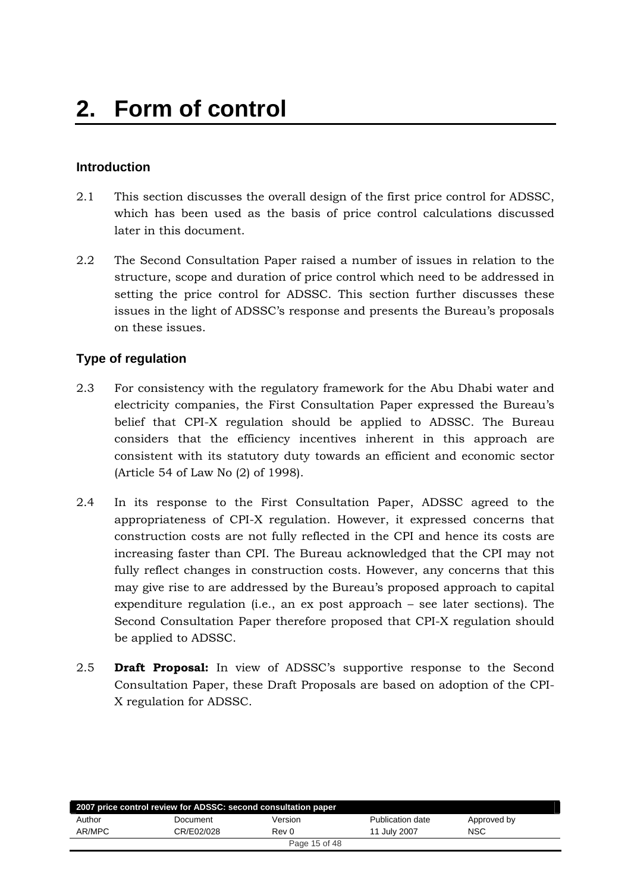# <span id="page-14-0"></span>**Introduction**

- 2.1 This section discusses the overall design of the first price control for ADSSC, which has been used as the basis of price control calculations discussed later in this document.
- 2.2 The Second Consultation Paper raised a number of issues in relation to the structure, scope and duration of price control which need to be addressed in setting the price control for ADSSC. This section further discusses these issues in the light of ADSSC's response and presents the Bureau's proposals on these issues.

# **Type of regulation**

- 2.3 For consistency with the regulatory framework for the Abu Dhabi water and electricity companies, the First Consultation Paper expressed the Bureau's belief that CPI-X regulation should be applied to ADSSC. The Bureau considers that the efficiency incentives inherent in this approach are consistent with its statutory duty towards an efficient and economic sector (Article 54 of Law No (2) of 1998).
- 2.4 In its response to the First Consultation Paper, ADSSC agreed to the appropriateness of CPI-X regulation. However, it expressed concerns that construction costs are not fully reflected in the CPI and hence its costs are increasing faster than CPI. The Bureau acknowledged that the CPI may not fully reflect changes in construction costs. However, any concerns that this may give rise to are addressed by the Bureau's proposed approach to capital expenditure regulation (i.e., an ex post approach – see later sections). The Second Consultation Paper therefore proposed that CPI-X regulation should be applied to ADSSC.
- 2.5 **Draft Proposal:** In view of ADSSC's supportive response to the Second Consultation Paper, these Draft Proposals are based on adoption of the CPI-X regulation for ADSSC.

|        | 2007 price control review for ADSSC: second consultation paper |               |                  |             |  |
|--------|----------------------------------------------------------------|---------------|------------------|-------------|--|
| Author | Document                                                       | Version       | Publication date | Approved by |  |
| AR/MPC | CR/E02/028                                                     | Rev 0         | 11 July 2007     | NSC         |  |
|        |                                                                | Page 15 of 48 |                  |             |  |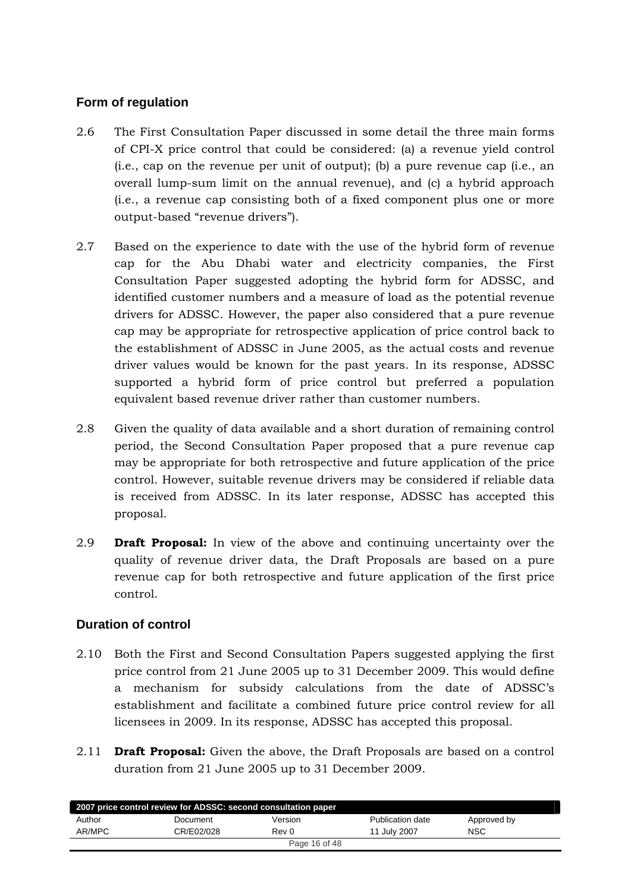# <span id="page-15-0"></span>**Form of regulation**

- 2.6 The First Consultation Paper discussed in some detail the three main forms of CPI-X price control that could be considered: (a) a revenue yield control (i.e., cap on the revenue per unit of output); (b) a pure revenue cap (i.e., an overall lump-sum limit on the annual revenue), and (c) a hybrid approach (i.e., a revenue cap consisting both of a fixed component plus one or more output-based "revenue drivers").
- 2.7 Based on the experience to date with the use of the hybrid form of revenue cap for the Abu Dhabi water and electricity companies, the First Consultation Paper suggested adopting the hybrid form for ADSSC, and identified customer numbers and a measure of load as the potential revenue drivers for ADSSC. However, the paper also considered that a pure revenue cap may be appropriate for retrospective application of price control back to the establishment of ADSSC in June 2005, as the actual costs and revenue driver values would be known for the past years. In its response, ADSSC supported a hybrid form of price control but preferred a population equivalent based revenue driver rather than customer numbers.
- 2.8 Given the quality of data available and a short duration of remaining control period, the Second Consultation Paper proposed that a pure revenue cap may be appropriate for both retrospective and future application of the price control. However, suitable revenue drivers may be considered if reliable data is received from ADSSC. In its later response, ADSSC has accepted this proposal.
- 2.9 **Draft Proposal:** In view of the above and continuing uncertainty over the quality of revenue driver data, the Draft Proposals are based on a pure revenue cap for both retrospective and future application of the first price control.

# **Duration of control**

- 2.10 Both the First and Second Consultation Papers suggested applying the first price control from 21 June 2005 up to 31 December 2009. This would define a mechanism for subsidy calculations from the date of ADSSC's establishment and facilitate a combined future price control review for all licensees in 2009. In its response, ADSSC has accepted this proposal.
- 2.11 **Draft Proposal:** Given the above, the Draft Proposals are based on a control duration from 21 June 2005 up to 31 December 2009.

| 2007 price control review for ADSSC: second consultation paper |            |               |                  |             |  |  |  |
|----------------------------------------------------------------|------------|---------------|------------------|-------------|--|--|--|
| Author                                                         | Document   | Version       | Publication date | Approved by |  |  |  |
| AR/MPC                                                         | CR/E02/028 | Rev 0         | 11 July 2007     | <b>NSC</b>  |  |  |  |
|                                                                |            | Page 16 of 48 |                  |             |  |  |  |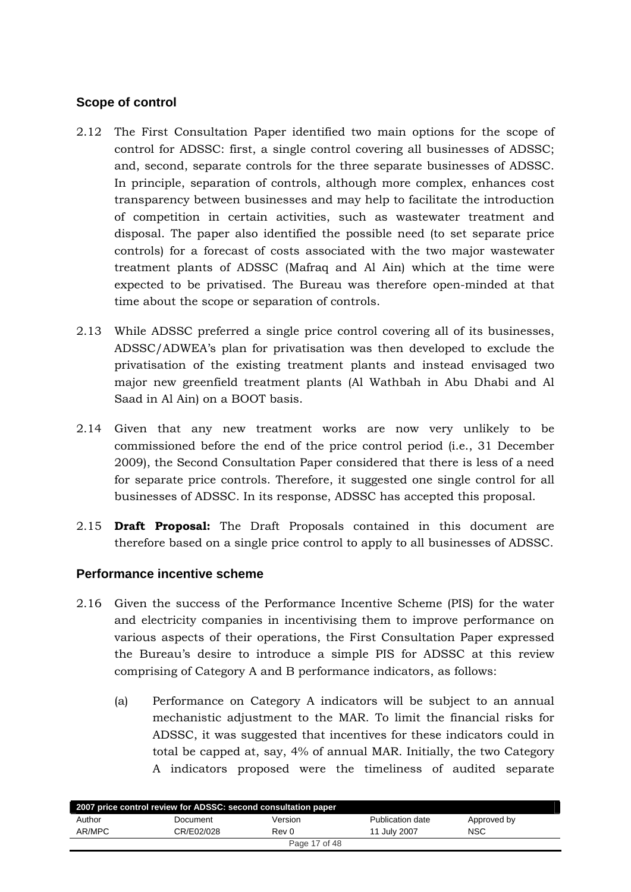# <span id="page-16-0"></span>**Scope of control**

- 2.12 The First Consultation Paper identified two main options for the scope of control for ADSSC: first, a single control covering all businesses of ADSSC; and, second, separate controls for the three separate businesses of ADSSC. In principle, separation of controls, although more complex, enhances cost transparency between businesses and may help to facilitate the introduction of competition in certain activities, such as wastewater treatment and disposal. The paper also identified the possible need (to set separate price controls) for a forecast of costs associated with the two major wastewater treatment plants of ADSSC (Mafraq and Al Ain) which at the time were expected to be privatised. The Bureau was therefore open-minded at that time about the scope or separation of controls.
- 2.13 While ADSSC preferred a single price control covering all of its businesses, ADSSC/ADWEA's plan for privatisation was then developed to exclude the privatisation of the existing treatment plants and instead envisaged two major new greenfield treatment plants (Al Wathbah in Abu Dhabi and Al Saad in Al Ain) on a BOOT basis.
- 2.14 Given that any new treatment works are now very unlikely to be commissioned before the end of the price control period (i.e., 31 December 2009), the Second Consultation Paper considered that there is less of a need for separate price controls. Therefore, it suggested one single control for all businesses of ADSSC. In its response, ADSSC has accepted this proposal.
- 2.15 **Draft Proposal:** The Draft Proposals contained in this document are therefore based on a single price control to apply to all businesses of ADSSC.

# **Performance incentive scheme**

- 2.16 Given the success of the Performance Incentive Scheme (PIS) for the water and electricity companies in incentivising them to improve performance on various aspects of their operations, the First Consultation Paper expressed the Bureau's desire to introduce a simple PIS for ADSSC at this review comprising of Category A and B performance indicators, as follows:
	- (a) Performance on Category A indicators will be subject to an annual mechanistic adjustment to the MAR. To limit the financial risks for ADSSC, it was suggested that incentives for these indicators could in total be capped at, say, 4% of annual MAR. Initially, the two Category A indicators proposed were the timeliness of audited separate

| 2007 price control review for ADSSC: second consultation paper |            |               |                  |             |  |  |  |
|----------------------------------------------------------------|------------|---------------|------------------|-------------|--|--|--|
| Author                                                         | Document   | Version       | Publication date | Approved by |  |  |  |
| AR/MPC                                                         | CR/E02/028 | Rev 0         | 11 July 2007     | <b>NSC</b>  |  |  |  |
|                                                                |            | Page 17 of 48 |                  |             |  |  |  |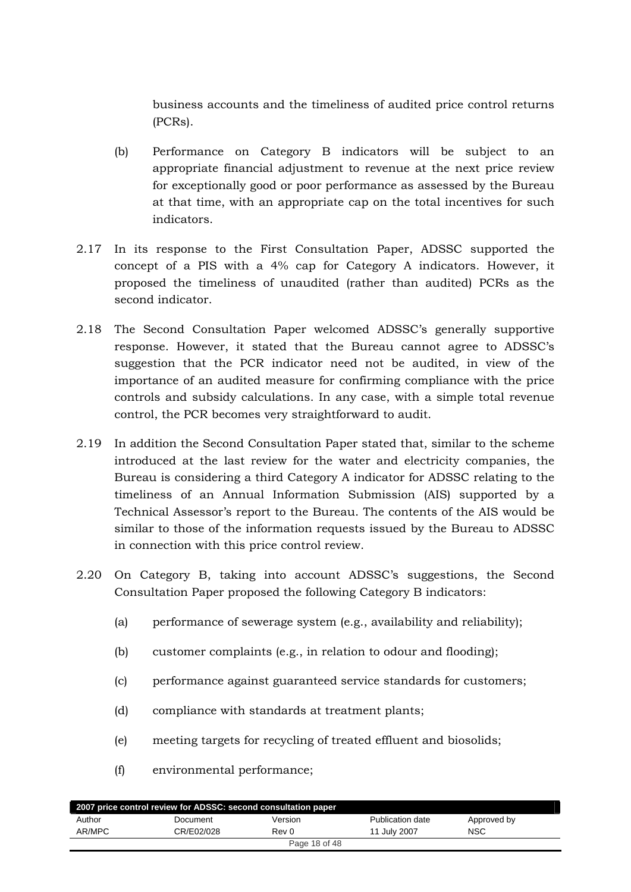business accounts and the timeliness of audited price control returns (PCRs).

- (b) Performance on Category B indicators will be subject to an appropriate financial adjustment to revenue at the next price review for exceptionally good or poor performance as assessed by the Bureau at that time, with an appropriate cap on the total incentives for such indicators.
- 2.17 In its response to the First Consultation Paper, ADSSC supported the concept of a PIS with a 4% cap for Category A indicators. However, it proposed the timeliness of unaudited (rather than audited) PCRs as the second indicator.
- 2.18 The Second Consultation Paper welcomed ADSSC's generally supportive response. However, it stated that the Bureau cannot agree to ADSSC's suggestion that the PCR indicator need not be audited, in view of the importance of an audited measure for confirming compliance with the price controls and subsidy calculations. In any case, with a simple total revenue control, the PCR becomes very straightforward to audit.
- 2.19 In addition the Second Consultation Paper stated that, similar to the scheme introduced at the last review for the water and electricity companies, the Bureau is considering a third Category A indicator for ADSSC relating to the timeliness of an Annual Information Submission (AIS) supported by a Technical Assessor's report to the Bureau. The contents of the AIS would be similar to those of the information requests issued by the Bureau to ADSSC in connection with this price control review.
- 2.20 On Category B, taking into account ADSSC's suggestions, the Second Consultation Paper proposed the following Category B indicators:
	- (a) performance of sewerage system (e.g., availability and reliability);
	- (b) customer complaints (e.g., in relation to odour and flooding);
	- (c) performance against guaranteed service standards for customers;
	- (d) compliance with standards at treatment plants;
	- (e) meeting targets for recycling of treated effluent and biosolids;
	- (f) environmental performance;

| 2007 price control review for ADSSC: second consultation paper |            |               |                  |             |  |  |  |
|----------------------------------------------------------------|------------|---------------|------------------|-------------|--|--|--|
| Author                                                         | Document   | Version       | Publication date | Approved by |  |  |  |
| AR/MPC                                                         | CR/E02/028 | Rev 0         | 11 July 2007     | <b>NSC</b>  |  |  |  |
|                                                                |            | Page 18 of 48 |                  |             |  |  |  |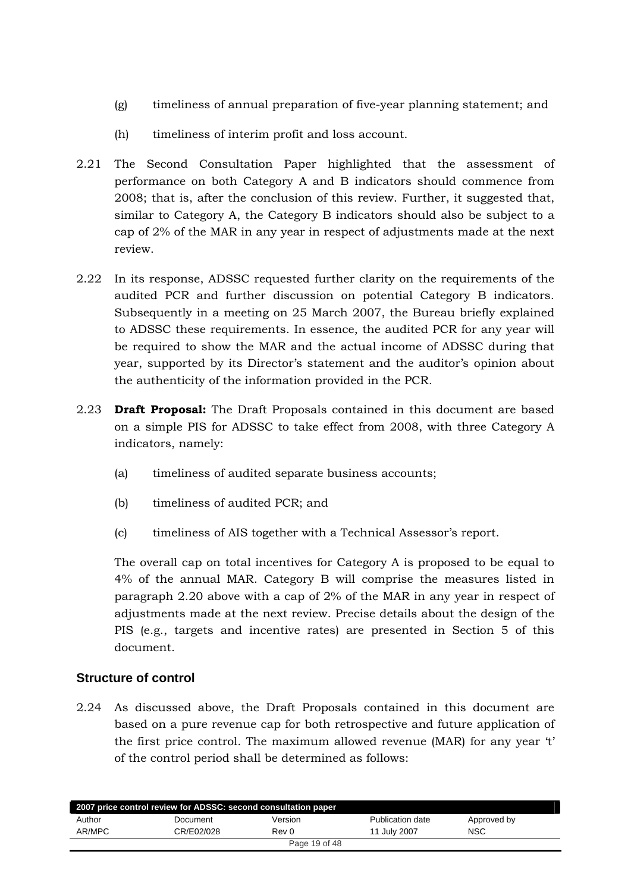- <span id="page-18-0"></span>(g) timeliness of annual preparation of five-year planning statement; and
- (h) timeliness of interim profit and loss account.
- 2.21 The Second Consultation Paper highlighted that the assessment of performance on both Category A and B indicators should commence from 2008; that is, after the conclusion of this review. Further, it suggested that, similar to Category A, the Category B indicators should also be subject to a cap of 2% of the MAR in any year in respect of adjustments made at the next review.
- 2.22 In its response, ADSSC requested further clarity on the requirements of the audited PCR and further discussion on potential Category B indicators. Subsequently in a meeting on 25 March 2007, the Bureau briefly explained to ADSSC these requirements. In essence, the audited PCR for any year will be required to show the MAR and the actual income of ADSSC during that year, supported by its Director's statement and the auditor's opinion about the authenticity of the information provided in the PCR.
- 2.23 **Draft Proposal:** The Draft Proposals contained in this document are based on a simple PIS for ADSSC to take effect from 2008, with three Category A indicators, namely:
	- (a) timeliness of audited separate business accounts;
	- (b) timeliness of audited PCR; and
	- (c) timeliness of AIS together with a Technical Assessor's report.

The overall cap on total incentives for Category A is proposed to be equal to 4% of the annual MAR. Category B will comprise the measures listed in paragraph 2.20 above with a cap of 2% of the MAR in any year in respect of adjustments made at the next review. Precise details about the design of the PIS (e.g., targets and incentive rates) are presented in Section 5 of this document.

# **Structure of control**

2.24 As discussed above, the Draft Proposals contained in this document are based on a pure revenue cap for both retrospective and future application of the first price control. The maximum allowed revenue (MAR) for any year 't' of the control period shall be determined as follows:

| 2007 price control review for ADSSC: second consultation paper |            |               |                  |             |  |  |  |
|----------------------------------------------------------------|------------|---------------|------------------|-------------|--|--|--|
| Author                                                         | Document   | Version       | Publication date | Approved by |  |  |  |
| AR/MPC                                                         | CR/E02/028 | Rev 0         | 11 July 2007     | <b>NSC</b>  |  |  |  |
|                                                                |            | Page 19 of 48 |                  |             |  |  |  |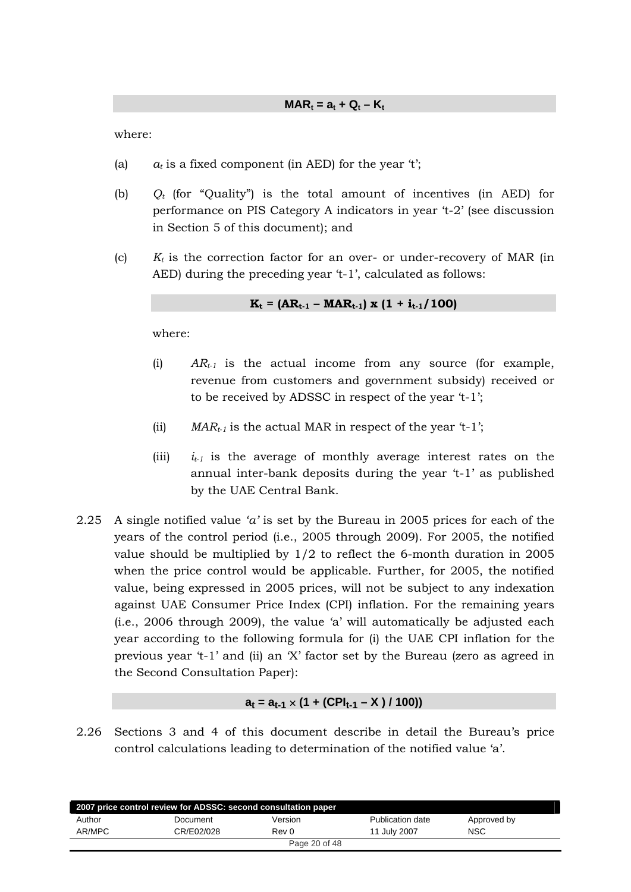where:

- (a)  $a_t$  is a fixed component (in AED) for the year 't';
- (b) *Qt* (for "Quality") is the total amount of incentives (in AED) for performance on PIS Category A indicators in year 't-2' (see discussion in Section 5 of this document); and
- (c) *Kt* is the correction factor for an over- or under-recovery of MAR (in AED) during the preceding year 't-1', calculated as follows:

$$
K_t = (AR_{t-1} - MAR_{t-1}) \times (1 + i_{t-1}/100)
$$

where:

- (i) *ARt-1* is the actual income from any source (for example, revenue from customers and government subsidy) received or to be received by ADSSC in respect of the year 't-1';
- (ii) *MAR<sub>t-1</sub>* is the actual MAR in respect of the year 't-1';
- (iii) *it-1* is the average of monthly average interest rates on the annual inter-bank deposits during the year 't-1' as published by the UAE Central Bank.
- 2.25 A single notified value *'a'* is set by the Bureau in 2005 prices for each of the years of the control period (i.e., 2005 through 2009). For 2005, the notified value should be multiplied by 1/2 to reflect the 6-month duration in 2005 when the price control would be applicable. Further, for 2005, the notified value, being expressed in 2005 prices, will not be subject to any indexation against UAE Consumer Price Index (CPI) inflation. For the remaining years (i.e., 2006 through 2009), the value 'a' will automatically be adjusted each year according to the following formula for (i) the UAE CPI inflation for the previous year 't-1' and (ii) an 'X' factor set by the Bureau (zero as agreed in the Second Consultation Paper):

#### $a_t = a_{t-1} \times (1 + (CPI_{t-1} - X) / 100)$

2.26 Sections 3 and 4 of this document describe in detail the Bureau's price control calculations leading to determination of the notified value 'a'.

| 2007 price control review for ADSSC: second consultation paper |            |               |                  |             |  |  |  |  |
|----------------------------------------------------------------|------------|---------------|------------------|-------------|--|--|--|--|
| Author                                                         | Document   | Version       | Publication date | Approved by |  |  |  |  |
| AR/MPC                                                         | CR/E02/028 | Rev 0         | 11 July 2007     | <b>NSC</b>  |  |  |  |  |
|                                                                |            | Page 20 of 48 |                  |             |  |  |  |  |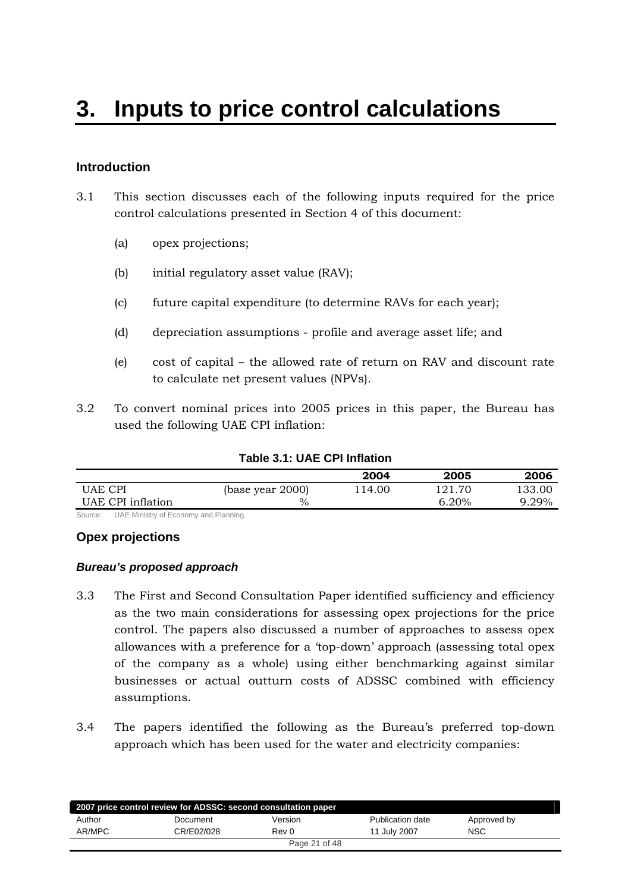# <span id="page-20-0"></span>**Introduction**

- 3.1 This section discusses each of the following inputs required for the price control calculations presented in Section 4 of this document:
	- (a) opex projections;
	- (b) initial regulatory asset value (RAV);
	- (c) future capital expenditure (to determine RAVs for each year);
	- (d) depreciation assumptions profile and average asset life; and
	- (e) cost of capital the allowed rate of return on RAV and discount rate to calculate net present values (NPVs).
- 3.2 To convert nominal prices into 2005 prices in this paper, the Bureau has used the following UAE CPI inflation:

|                                                         |                  | 2004   | 2005   | 2006   |
|---------------------------------------------------------|------------------|--------|--------|--------|
| <b>UAE CPI</b>                                          | (base year 2000) | 114.00 | 121.70 | 133.00 |
| UAE CPI inflation                                       | $\frac{0}{0}$    |        | 6.20%  | 9.29%  |
| Orrespondent LIAE Ministers of Executive and Discussion |                  |        |        |        |

#### **Table 3.1: UAE CPI Inflation**

Source: UAE Ministry of Economy and Planning.

#### **Opex projections**

#### *Bureau's proposed approach*

- 3.3 The First and Second Consultation Paper identified sufficiency and efficiency as the two main considerations for assessing opex projections for the price control. The papers also discussed a number of approaches to assess opex allowances with a preference for a 'top-down' approach (assessing total opex of the company as a whole) using either benchmarking against similar businesses or actual outturn costs of ADSSC combined with efficiency assumptions.
- 3.4 The papers identified the following as the Bureau's preferred top-down approach which has been used for the water and electricity companies:

| 2007 price control review for ADSSC: second consultation paper |            |               |                  |             |  |  |  |  |
|----------------------------------------------------------------|------------|---------------|------------------|-------------|--|--|--|--|
| Author                                                         | Document   | Version       | Publication date | Approved by |  |  |  |  |
| AR/MPC                                                         | CR/E02/028 | Rev 0         | 11 July 2007     | <b>NSC</b>  |  |  |  |  |
|                                                                |            | Page 21 of 48 |                  |             |  |  |  |  |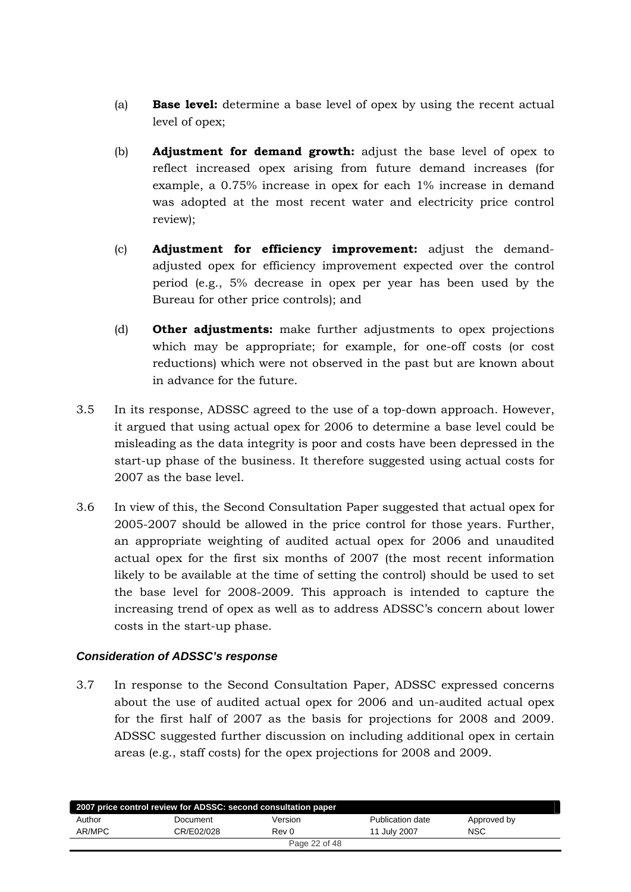- <span id="page-21-0"></span>(a) **Base level:** determine a base level of opex by using the recent actual level of opex;
- (b) **Adjustment for demand growth:** adjust the base level of opex to reflect increased opex arising from future demand increases (for example, a 0.75% increase in opex for each 1% increase in demand was adopted at the most recent water and electricity price control review);
- (c) **Adjustment for efficiency improvement:** adjust the demandadjusted opex for efficiency improvement expected over the control period (e.g., 5% decrease in opex per year has been used by the Bureau for other price controls); and
- (d) **Other adjustments:** make further adjustments to opex projections which may be appropriate; for example, for one-off costs (or cost reductions) which were not observed in the past but are known about in advance for the future.
- 3.5 In its response, ADSSC agreed to the use of a top-down approach. However, it argued that using actual opex for 2006 to determine a base level could be misleading as the data integrity is poor and costs have been depressed in the start-up phase of the business. It therefore suggested using actual costs for 2007 as the base level.
- 3.6 In view of this, the Second Consultation Paper suggested that actual opex for 2005-2007 should be allowed in the price control for those years. Further, an appropriate weighting of audited actual opex for 2006 and unaudited actual opex for the first six months of 2007 (the most recent information likely to be available at the time of setting the control) should be used to set the base level for 2008-2009. This approach is intended to capture the increasing trend of opex as well as to address ADSSC's concern about lower costs in the start-up phase.

# *Consideration of ADSSC's response*

3.7 In response to the Second Consultation Paper, ADSSC expressed concerns about the use of audited actual opex for 2006 and un-audited actual opex for the first half of 2007 as the basis for projections for 2008 and 2009. ADSSC suggested further discussion on including additional opex in certain areas (e.g., staff costs) for the opex projections for 2008 and 2009.

| 2007 price control review for ADSSC: second consultation paper |            |               |                  |             |  |  |  |
|----------------------------------------------------------------|------------|---------------|------------------|-------------|--|--|--|
| Author                                                         | Document   | Version       | Publication date | Approved by |  |  |  |
| AR/MPC                                                         | CR/E02/028 | Rev 0         | 11 July 2007     | <b>NSC</b>  |  |  |  |
|                                                                |            | Page 22 of 48 |                  |             |  |  |  |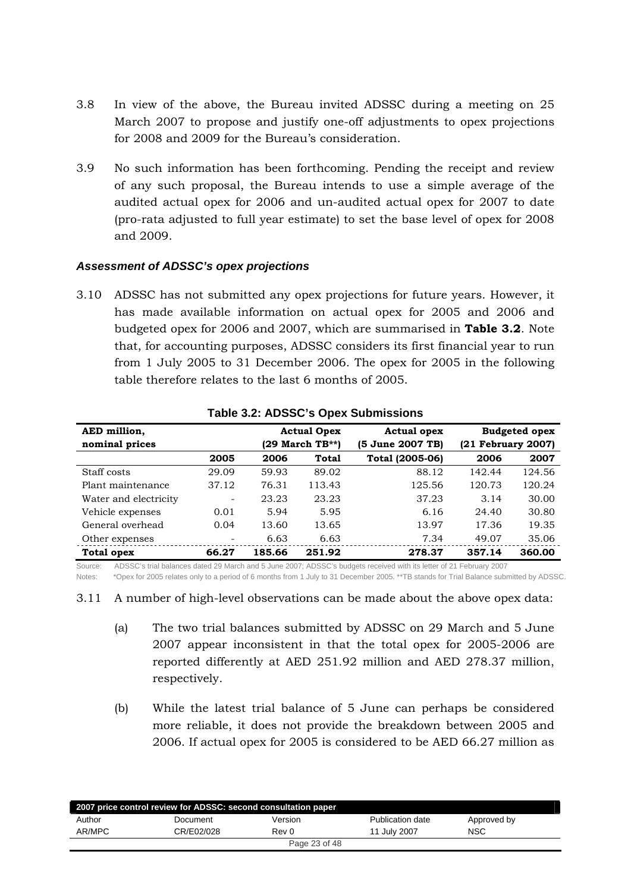- <span id="page-22-0"></span>3.8 In view of the above, the Bureau invited ADSSC during a meeting on 25 March 2007 to propose and justify one-off adjustments to opex projections for 2008 and 2009 for the Bureau's consideration.
- 3.9 No such information has been forthcoming. Pending the receipt and review of any such proposal, the Bureau intends to use a simple average of the audited actual opex for 2006 and un-audited actual opex for 2007 to date (pro-rata adjusted to full year estimate) to set the base level of opex for 2008 and 2009.

## *Assessment of ADSSC's opex projections*

3.10 ADSSC has not submitted any opex projections for future years. However, it has made available information on actual opex for 2005 and 2006 and budgeted opex for 2006 and 2007, which are summarised in **Table 3.2**. Note that, for accounting purposes, ADSSC considers its first financial year to run from 1 July 2005 to 31 December 2006. The opex for 2005 in the following table therefore relates to the last 6 months of 2005.

| AED million,          |                          |                 | <b>Actual Opex</b> | <b>Actual opex</b> |                    | <b>Budgeted opex</b> |
|-----------------------|--------------------------|-----------------|--------------------|--------------------|--------------------|----------------------|
| nominal prices        |                          | (29 March TB**) |                    | (5 June 2007 TB)   | (21 February 2007) |                      |
|                       | 2005                     | 2006            | Total              | Total (2005-06)    | 2006               | 2007                 |
| Staff costs           | 29.09                    | 59.93           | 89.02              | 88.12              | 142.44             | 124.56               |
| Plant maintenance     | 37.12                    | 76.31           | 113.43             | 125.56             | 120.73             | 120.24               |
| Water and electricity | $\overline{\phantom{a}}$ | 23.23           | 23.23              | 37.23              | 3.14               | 30.00                |
| Vehicle expenses      | 0.01                     | 5.94            | 5.95               | 6.16               | 24.40              | 30.80                |
| General overhead      | 0.04                     | 13.60           | 13.65              | 13.97              | 17.36              | 19.35                |
| Other expenses        | $\overline{\phantom{a}}$ | 6.63            | 6.63               | 7.34               | 49.07              | 35.06                |
| <b>Total opex</b>     | 66.27                    | 185.66          | 251.92             | 278.37             | 357.14             | 360.00               |

#### **Table 3.2: ADSSC's Opex Submissions**

Source: ADSSC's trial balances dated 29 March and 5 June 2007; ADSSC's budgets received with its letter of 21 February 2007

Notes: \*Opex for 2005 relates only to a period of 6 months from 1 July to 31 December 2005. \*\*TB stands for Trial Balance submitted by ADSSC.

3.11 A number of high-level observations can be made about the above opex data:

- (a) The two trial balances submitted by ADSSC on 29 March and 5 June 2007 appear inconsistent in that the total opex for 2005-2006 are reported differently at AED 251.92 million and AED 278.37 million, respectively.
- (b) While the latest trial balance of 5 June can perhaps be considered more reliable, it does not provide the breakdown between 2005 and 2006. If actual opex for 2005 is considered to be AED 66.27 million as

| 2007 price control review for ADSSC: second consultation paper |            |               |                  |             |  |  |  |  |
|----------------------------------------------------------------|------------|---------------|------------------|-------------|--|--|--|--|
| Author                                                         | Document   | Version       | Publication date | Approved by |  |  |  |  |
| AR/MPC                                                         | CR/E02/028 | Rev 0         | 11 July 2007     | <b>NSC</b>  |  |  |  |  |
|                                                                |            | Page 23 of 48 |                  |             |  |  |  |  |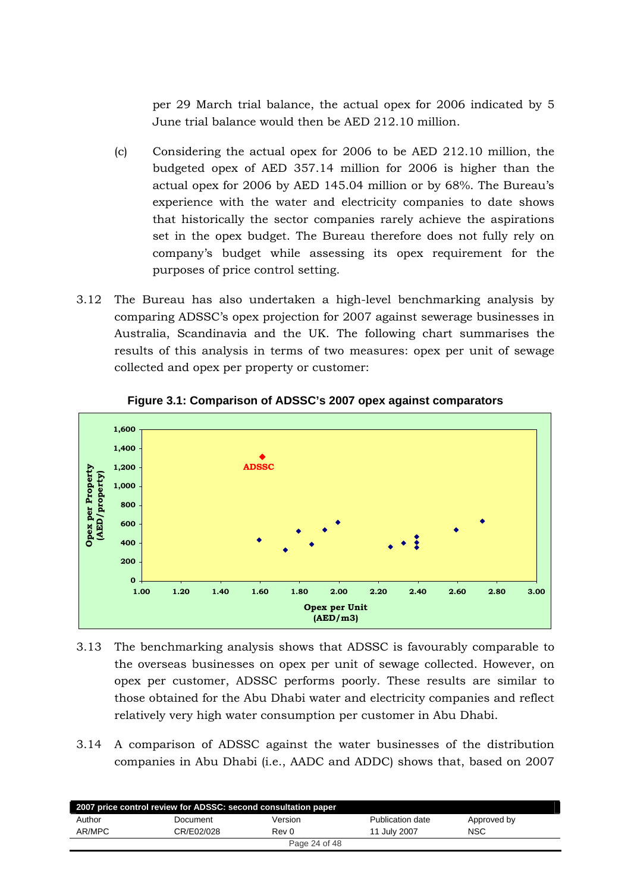per 29 March trial balance, the actual opex for 2006 indicated by 5 June trial balance would then be AED 212.10 million.

- (c) Considering the actual opex for 2006 to be AED 212.10 million, the budgeted opex of AED 357.14 million for 2006 is higher than the actual opex for 2006 by AED 145.04 million or by 68%. The Bureau's experience with the water and electricity companies to date shows that historically the sector companies rarely achieve the aspirations set in the opex budget. The Bureau therefore does not fully rely on company's budget while assessing its opex requirement for the purposes of price control setting.
- 3.12 The Bureau has also undertaken a high-level benchmarking analysis by comparing ADSSC's opex projection for 2007 against sewerage businesses in Australia, Scandinavia and the UK. The following chart summarises the results of this analysis in terms of two measures: opex per unit of sewage collected and opex per property or customer:



**Figure 3.1: Comparison of ADSSC's 2007 opex against comparators** 

- 3.13 The benchmarking analysis shows that ADSSC is favourably comparable to the overseas businesses on opex per unit of sewage collected. However, on opex per customer, ADSSC performs poorly. These results are similar to those obtained for the Abu Dhabi water and electricity companies and reflect relatively very high water consumption per customer in Abu Dhabi.
- 3.14 A comparison of ADSSC against the water businesses of the distribution companies in Abu Dhabi (i.e., AADC and ADDC) shows that, based on 2007

| 2007 price control review for ADSSC: second consultation paper |            |               |                  |             |  |  |  |
|----------------------------------------------------------------|------------|---------------|------------------|-------------|--|--|--|
| Author                                                         | Document   | Version       | Publication date | Approved by |  |  |  |
| AR/MPC                                                         | CR/E02/028 | Rev 0         | 11 July 2007     | <b>NSC</b>  |  |  |  |
|                                                                |            | Page 24 of 48 |                  |             |  |  |  |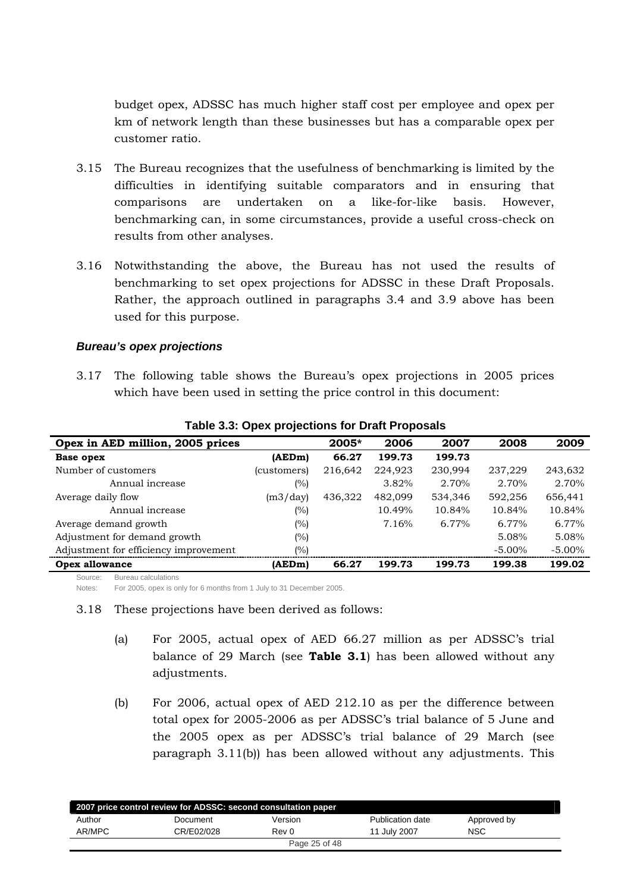<span id="page-24-0"></span>budget opex, ADSSC has much higher staff cost per employee and opex per km of network length than these businesses but has a comparable opex per customer ratio.

- 3.15 The Bureau recognizes that the usefulness of benchmarking is limited by the difficulties in identifying suitable comparators and in ensuring that comparisons are undertaken on a like-for-like basis. However, benchmarking can, in some circumstances, provide a useful cross-check on results from other analyses.
- 3.16 Notwithstanding the above, the Bureau has not used the results of benchmarking to set opex projections for ADSSC in these Draft Proposals. Rather, the approach outlined in paragraphs 3.4 and 3.9 above has been used for this purpose.

#### *Bureau's opex projections*

3.17 The following table shows the Bureau's opex projections in 2005 prices which have been used in setting the price control in this document:

| Opex in AED million, 2005 prices      |             | $2005*$ | 2006    | 2007    | 2008      | 2009      |
|---------------------------------------|-------------|---------|---------|---------|-----------|-----------|
| Base opex                             | (AEDm)      | 66.27   | 199.73  | 199.73  |           |           |
| Number of customers                   | (customers) | 216,642 | 224.923 | 230.994 | 237,229   | 243,632   |
| Annual increase                       | (%)         |         | 3.82%   | 2.70%   | 2.70%     | 2.70%     |
| Average daily flow                    | (m3/day)    | 436,322 | 482.099 | 534.346 | 592.256   | 656,441   |
| Annual increase                       | (%)         |         | 10.49%  | 10.84%  | 10.84%    | 10.84%    |
| Average demand growth                 | (%)         |         | 7.16%   | 6.77%   | 6.77%     | 6.77%     |
| Adjustment for demand growth          | (%)         |         |         |         | 5.08%     | 5.08%     |
| Adjustment for efficiency improvement | (%)         |         |         |         | $-5.00\%$ | $-5.00\%$ |
| <b>Opex allowance</b>                 | (AEDm)      | 66.27   | 199.73  | 199.73  | 199.38    | 199.02    |
| $S$ $OIII$<br>Bureau calculations     |             |         |         |         |           |           |

**Table 3.3: Opex projections for Draft Proposals** 

Notes: For 2005, opex is only for 6 months from 1 July to 31 December 2005.

- 3.18 These projections have been derived as follows:
	- (a) For 2005, actual opex of AED 66.27 million as per ADSSC's trial balance of 29 March (see **Table 3.1**) has been allowed without any adjustments.
	- (b) For 2006, actual opex of AED 212.10 as per the difference between total opex for 2005-2006 as per ADSSC's trial balance of 5 June and the 2005 opex as per ADSSC's trial balance of 29 March (see paragraph 3.11(b)) has been allowed without any adjustments. This

| 2007 price control review for ADSSC: second consultation paper |            |         |                  |             |  |  |  |
|----------------------------------------------------------------|------------|---------|------------------|-------------|--|--|--|
| Author                                                         | Document   | Version | Publication date | Approved by |  |  |  |
| AR/MPC                                                         | CR/E02/028 | Rev 0   | 11 July 2007     | <b>NSC</b>  |  |  |  |
| Page 25 of 48                                                  |            |         |                  |             |  |  |  |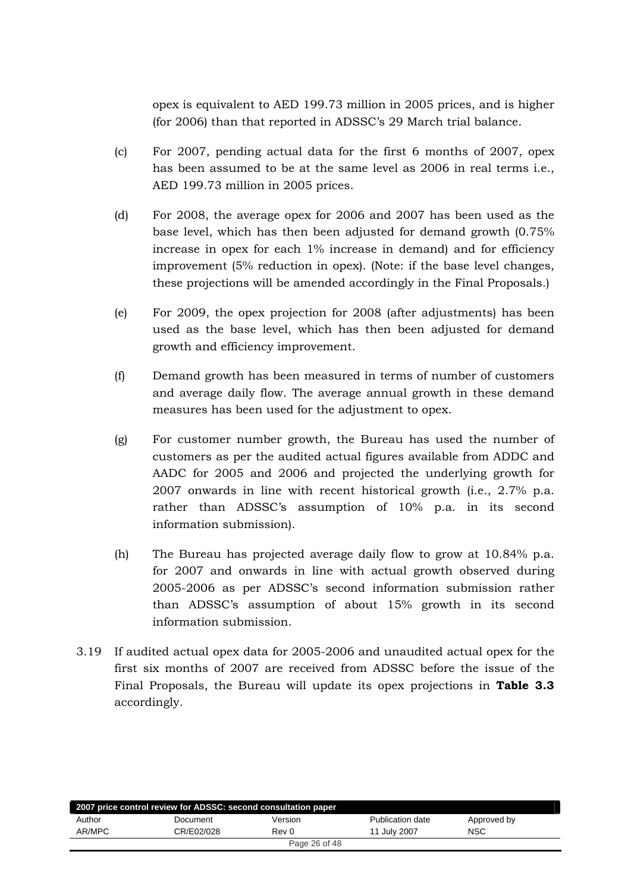opex is equivalent to AED 199.73 million in 2005 prices, and is higher (for 2006) than that reported in ADSSC's 29 March trial balance.

- (c) For 2007, pending actual data for the first 6 months of 2007, opex has been assumed to be at the same level as 2006 in real terms i.e., AED 199.73 million in 2005 prices.
- (d) For 2008, the average opex for 2006 and 2007 has been used as the base level, which has then been adjusted for demand growth (0.75% increase in opex for each 1% increase in demand) and for efficiency improvement (5% reduction in opex). (Note: if the base level changes, these projections will be amended accordingly in the Final Proposals.)
- (e) For 2009, the opex projection for 2008 (after adjustments) has been used as the base level, which has then been adjusted for demand growth and efficiency improvement.
- (f) Demand growth has been measured in terms of number of customers and average daily flow. The average annual growth in these demand measures has been used for the adjustment to opex.
- (g) For customer number growth, the Bureau has used the number of customers as per the audited actual figures available from ADDC and AADC for 2005 and 2006 and projected the underlying growth for 2007 onwards in line with recent historical growth (i.e., 2.7% p.a. rather than ADSSC's assumption of 10% p.a. in its second information submission).
- (h) The Bureau has projected average daily flow to grow at 10.84% p.a. for 2007 and onwards in line with actual growth observed during 2005-2006 as per ADSSC's second information submission rather than ADSSC's assumption of about 15% growth in its second information submission.
- 3.19 If audited actual opex data for 2005-2006 and unaudited actual opex for the first six months of 2007 are received from ADSSC before the issue of the Final Proposals, the Bureau will update its opex projections in **Table 3.3** accordingly.

| 2007 price control review for ADSSC: second consultation paper |            |               |                  |             |  |  |  |
|----------------------------------------------------------------|------------|---------------|------------------|-------------|--|--|--|
| Author                                                         | Document   | Version       | Publication date | Approved by |  |  |  |
| AR/MPC                                                         | CR/E02/028 | Rev 0         | 11 July 2007     | <b>NSC</b>  |  |  |  |
|                                                                |            | Page 26 of 48 |                  |             |  |  |  |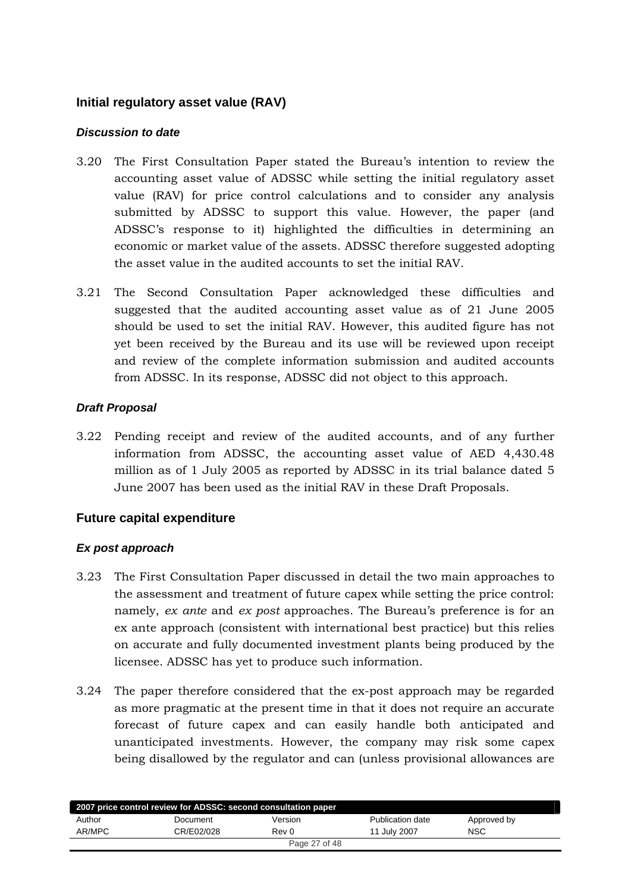# <span id="page-26-0"></span>**Initial regulatory asset value (RAV)**

## *Discussion to date*

- 3.20 The First Consultation Paper stated the Bureau's intention to review the accounting asset value of ADSSC while setting the initial regulatory asset value (RAV) for price control calculations and to consider any analysis submitted by ADSSC to support this value. However, the paper (and ADSSC's response to it) highlighted the difficulties in determining an economic or market value of the assets. ADSSC therefore suggested adopting the asset value in the audited accounts to set the initial RAV.
- 3.21 The Second Consultation Paper acknowledged these difficulties and suggested that the audited accounting asset value as of 21 June 2005 should be used to set the initial RAV. However, this audited figure has not yet been received by the Bureau and its use will be reviewed upon receipt and review of the complete information submission and audited accounts from ADSSC. In its response, ADSSC did not object to this approach.

# *Draft Proposal*

3.22 Pending receipt and review of the audited accounts, and of any further information from ADSSC, the accounting asset value of AED 4,430.48 million as of 1 July 2005 as reported by ADSSC in its trial balance dated 5 June 2007 has been used as the initial RAV in these Draft Proposals.

# **Future capital expenditure**

# *Ex post approach*

- 3.23 The First Consultation Paper discussed in detail the two main approaches to the assessment and treatment of future capex while setting the price control: namely, *ex ante* and *ex post* approaches. The Bureau's preference is for an ex ante approach (consistent with international best practice) but this relies on accurate and fully documented investment plants being produced by the licensee. ADSSC has yet to produce such information.
- 3.24 The paper therefore considered that the ex-post approach may be regarded as more pragmatic at the present time in that it does not require an accurate forecast of future capex and can easily handle both anticipated and unanticipated investments. However, the company may risk some capex being disallowed by the regulator and can (unless provisional allowances are

| 2007 price control review for ADSSC: second consultation paper |            |               |                  |             |  |  |  |
|----------------------------------------------------------------|------------|---------------|------------------|-------------|--|--|--|
| Author                                                         | Document   | Version       | Publication date | Approved by |  |  |  |
| AR/MPC                                                         | CR/E02/028 | Rev 0         | 11 July 2007     | <b>NSC</b>  |  |  |  |
|                                                                |            | Page 27 of 48 |                  |             |  |  |  |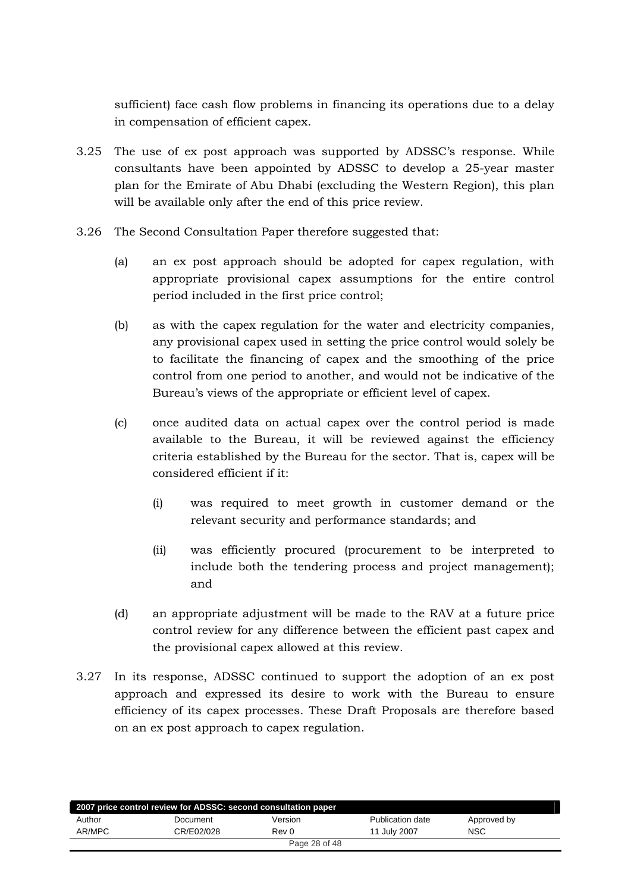sufficient) face cash flow problems in financing its operations due to a delay in compensation of efficient capex.

- 3.25 The use of ex post approach was supported by ADSSC's response. While consultants have been appointed by ADSSC to develop a 25-year master plan for the Emirate of Abu Dhabi (excluding the Western Region), this plan will be available only after the end of this price review.
- 3.26 The Second Consultation Paper therefore suggested that:
	- (a) an ex post approach should be adopted for capex regulation, with appropriate provisional capex assumptions for the entire control period included in the first price control;
	- (b) as with the capex regulation for the water and electricity companies, any provisional capex used in setting the price control would solely be to facilitate the financing of capex and the smoothing of the price control from one period to another, and would not be indicative of the Bureau's views of the appropriate or efficient level of capex.
	- (c) once audited data on actual capex over the control period is made available to the Bureau, it will be reviewed against the efficiency criteria established by the Bureau for the sector. That is, capex will be considered efficient if it:
		- (i) was required to meet growth in customer demand or the relevant security and performance standards; and
		- (ii) was efficiently procured (procurement to be interpreted to include both the tendering process and project management); and
	- (d) an appropriate adjustment will be made to the RAV at a future price control review for any difference between the efficient past capex and the provisional capex allowed at this review.
- 3.27 In its response, ADSSC continued to support the adoption of an ex post approach and expressed its desire to work with the Bureau to ensure efficiency of its capex processes. These Draft Proposals are therefore based on an ex post approach to capex regulation.

| 2007 price control review for ADSSC: second consultation paper |               |         |                  |             |  |  |  |  |  |
|----------------------------------------------------------------|---------------|---------|------------------|-------------|--|--|--|--|--|
| Author                                                         | Document      | Version | Publication date | Approved by |  |  |  |  |  |
| AR/MPC                                                         | CR/E02/028    | Rev 0   | 11 July 2007     | <b>NSC</b>  |  |  |  |  |  |
|                                                                | Page 28 of 48 |         |                  |             |  |  |  |  |  |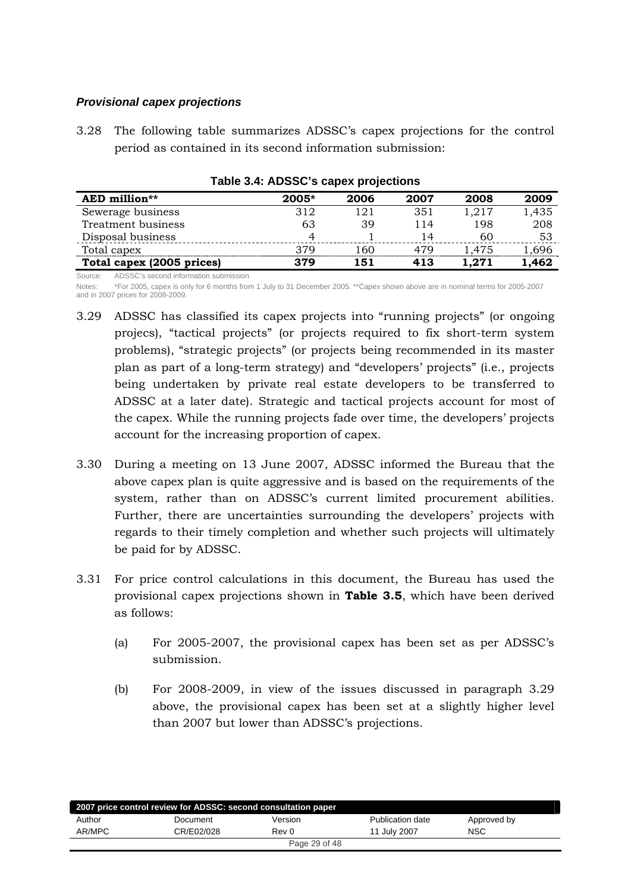## <span id="page-28-0"></span>*Provisional capex projections*

3.28 The following table summarizes ADSSC's capex projections for the control period as contained in its second information submission:

| AED million**             | $2005*$ | 2006 | 2007 | 2008  | 2009  |
|---------------------------|---------|------|------|-------|-------|
| Sewerage business         | 312     | 121  | 351  | 1,217 | 1,435 |
| Treatment business        | 63      | 39   | 114  | 198   | 208   |
| Disposal business         | 4       |      | 14   | 60    | 53    |
| Total capex               | 379     | 160  | 479  | 1.475 | .696  |
| Total capex (2005 prices) | 379     | 151  | 413  | 1.271 | 1.462 |

**Table 3.4: ADSSC's capex projections** 

Source: ADSSC's second information submission

Notes: \*For 2005, capex is only for 6 months from 1 July to 31 December 2005. \*\*Capex shown above are in nominal terms for 2005-2007 and in 2007 prices for 2008-2009.

- 3.29 ADSSC has classified its capex projects into "running projects" (or ongoing projecs), "tactical projects" (or projects required to fix short-term system problems), "strategic projects" (or projects being recommended in its master plan as part of a long-term strategy) and "developers' projects" (i.e., projects being undertaken by private real estate developers to be transferred to ADSSC at a later date). Strategic and tactical projects account for most of the capex. While the running projects fade over time, the developers' projects account for the increasing proportion of capex.
- 3.30 During a meeting on 13 June 2007, ADSSC informed the Bureau that the above capex plan is quite aggressive and is based on the requirements of the system, rather than on ADSSC's current limited procurement abilities. Further, there are uncertainties surrounding the developers' projects with regards to their timely completion and whether such projects will ultimately be paid for by ADSSC.
- 3.31 For price control calculations in this document, the Bureau has used the provisional capex projections shown in **Table 3.5**, which have been derived as follows:
	- (a) For 2005-2007, the provisional capex has been set as per ADSSC's submission.
	- (b) For 2008-2009, in view of the issues discussed in paragraph 3.29 above, the provisional capex has been set at a slightly higher level than 2007 but lower than ADSSC's projections.

| 2007 price control review for ADSSC: second consultation paper |            |         |                  |             |  |  |  |
|----------------------------------------------------------------|------------|---------|------------------|-------------|--|--|--|
| Author                                                         | Document   | Version | Publication date | Approved by |  |  |  |
| AR/MPC                                                         | CR/E02/028 | Rev 0   | 11 July 2007     | <b>NSC</b>  |  |  |  |
| Page 29 of 48                                                  |            |         |                  |             |  |  |  |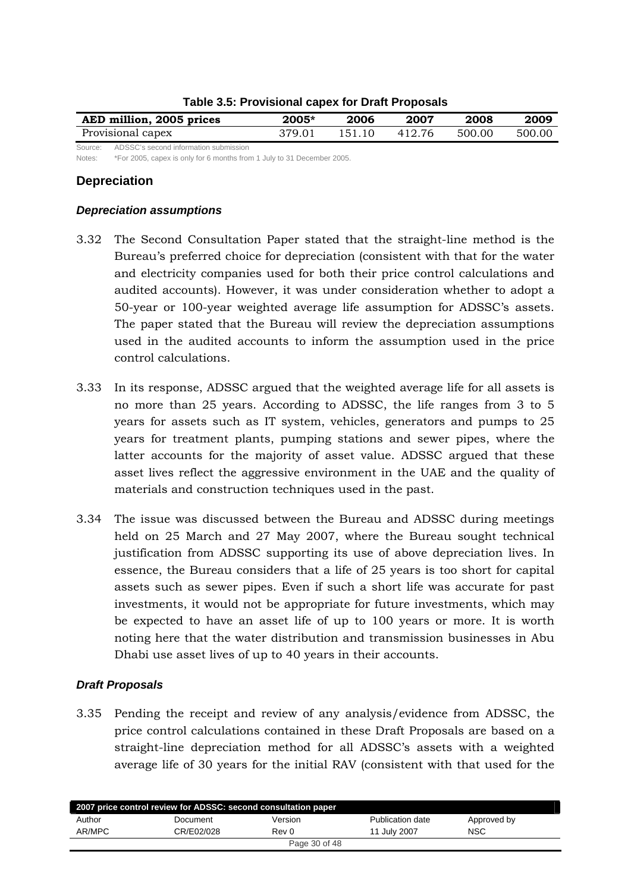<span id="page-29-0"></span>

| AED million, 2005 prices                      | $2005*$ | 2006   | 2007    | 2008   | 2009   |
|-----------------------------------------------|---------|--------|---------|--------|--------|
| Provisional capex                             | 379.01  | 151.10 | -412.76 | 500.00 | 500.00 |
| Source: ADSSC's second information submission |         |        |         |        |        |

#### **Table 3.5: Provisional capex for Draft Proposals**

Notes: \*For 2005, capex is only for 6 months from 1 July to 31 December 2005.

## **Depreciation**

#### *Depreciation assumptions*

- 3.32 The Second Consultation Paper stated that the straight-line method is the Bureau's preferred choice for depreciation (consistent with that for the water and electricity companies used for both their price control calculations and audited accounts). However, it was under consideration whether to adopt a 50-year or 100-year weighted average life assumption for ADSSC's assets. The paper stated that the Bureau will review the depreciation assumptions used in the audited accounts to inform the assumption used in the price control calculations.
- 3.33 In its response, ADSSC argued that the weighted average life for all assets is no more than 25 years. According to ADSSC, the life ranges from 3 to 5 years for assets such as IT system, vehicles, generators and pumps to 25 years for treatment plants, pumping stations and sewer pipes, where the latter accounts for the majority of asset value. ADSSC argued that these asset lives reflect the aggressive environment in the UAE and the quality of materials and construction techniques used in the past.
- 3.34 The issue was discussed between the Bureau and ADSSC during meetings held on 25 March and 27 May 2007, where the Bureau sought technical justification from ADSSC supporting its use of above depreciation lives. In essence, the Bureau considers that a life of 25 years is too short for capital assets such as sewer pipes. Even if such a short life was accurate for past investments, it would not be appropriate for future investments, which may be expected to have an asset life of up to 100 years or more. It is worth noting here that the water distribution and transmission businesses in Abu Dhabi use asset lives of up to 40 years in their accounts.

#### *Draft Proposals*

3.35 Pending the receipt and review of any analysis/evidence from ADSSC, the price control calculations contained in these Draft Proposals are based on a straight-line depreciation method for all ADSSC's assets with a weighted average life of 30 years for the initial RAV (consistent with that used for the

| 2007 price control review for ADSSC: second consultation paper |            |         |                  |             |  |  |  |
|----------------------------------------------------------------|------------|---------|------------------|-------------|--|--|--|
| Author                                                         | Document   | Version | Publication date | Approved by |  |  |  |
| AR/MPC                                                         | CR/E02/028 | Rev 0   | 11 July 2007     | <b>NSC</b>  |  |  |  |
| Page 30 of 48                                                  |            |         |                  |             |  |  |  |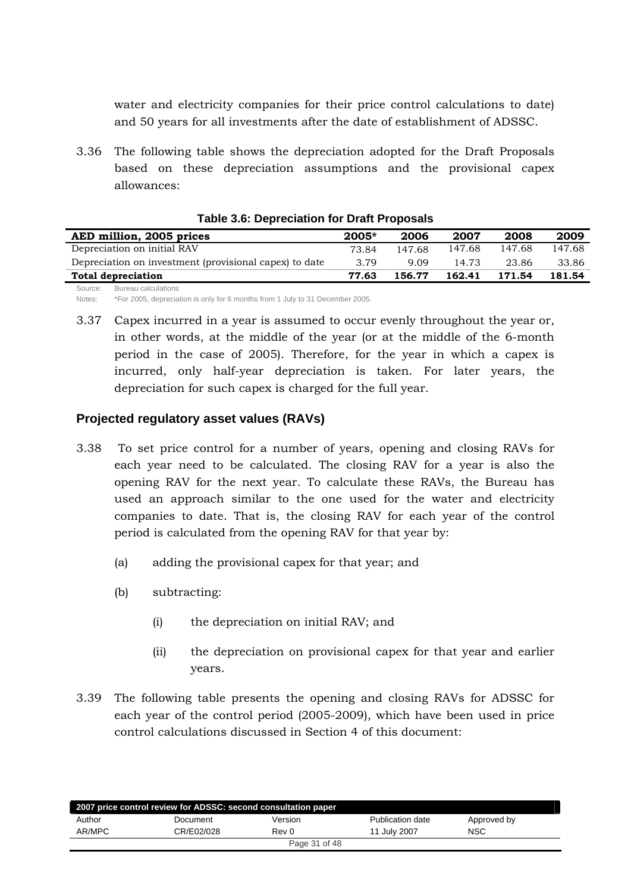<span id="page-30-0"></span>water and electricity companies for their price control calculations to date) and 50 years for all investments after the date of establishment of ADSSC.

3.36 The following table shows the depreciation adopted for the Draft Proposals based on these depreciation assumptions and the provisional capex allowances:

| AED million, 2005 prices                               | $2005*$ | 2006   | 2007   | 2008   | 2009   |
|--------------------------------------------------------|---------|--------|--------|--------|--------|
| Depreciation on initial RAV                            | 73.84   | 147.68 | 147.68 | 147.68 | 147.68 |
| Depreciation on investment (provisional capex) to date | 3.79    | 9.09   | 14.73  | 23.86  | 33.86  |
| <b>Total depreciation</b>                              | 77.63   | 156.77 | 162.41 | 171.54 | 181.54 |
| Source: Bureau calculations                            |         |        |        |        |        |

#### **Table 3.6: Depreciation for Draft Proposals**

Notes: \*For 2005, depreciation is only for 6 months from 1 July to 31 December 2005.

3.37 Capex incurred in a year is assumed to occur evenly throughout the year or, in other words, at the middle of the year (or at the middle of the 6-month period in the case of 2005). Therefore, for the year in which a capex is incurred, only half-year depreciation is taken. For later years, the depreciation for such capex is charged for the full year.

# **Projected regulatory asset values (RAVs)**

- 3.38 To set price control for a number of years, opening and closing RAVs for each year need to be calculated. The closing RAV for a year is also the opening RAV for the next year. To calculate these RAVs, the Bureau has used an approach similar to the one used for the water and electricity companies to date. That is, the closing RAV for each year of the control period is calculated from the opening RAV for that year by:
	- (a) adding the provisional capex for that year; and
	- (b) subtracting:
		- (i) the depreciation on initial RAV; and
		- (ii) the depreciation on provisional capex for that year and earlier years.
- 3.39 The following table presents the opening and closing RAVs for ADSSC for each year of the control period (2005-2009), which have been used in price control calculations discussed in Section 4 of this document:

| 2007 price control review for ADSSC: second consultation paper |            |         |                  |             |  |  |  |
|----------------------------------------------------------------|------------|---------|------------------|-------------|--|--|--|
| Author                                                         | Document   | Version | Publication date | Approved by |  |  |  |
| AR/MPC                                                         | CR/E02/028 | Rev 0   | 11 July 2007     | <b>NSC</b>  |  |  |  |
| Page 31 of 48                                                  |            |         |                  |             |  |  |  |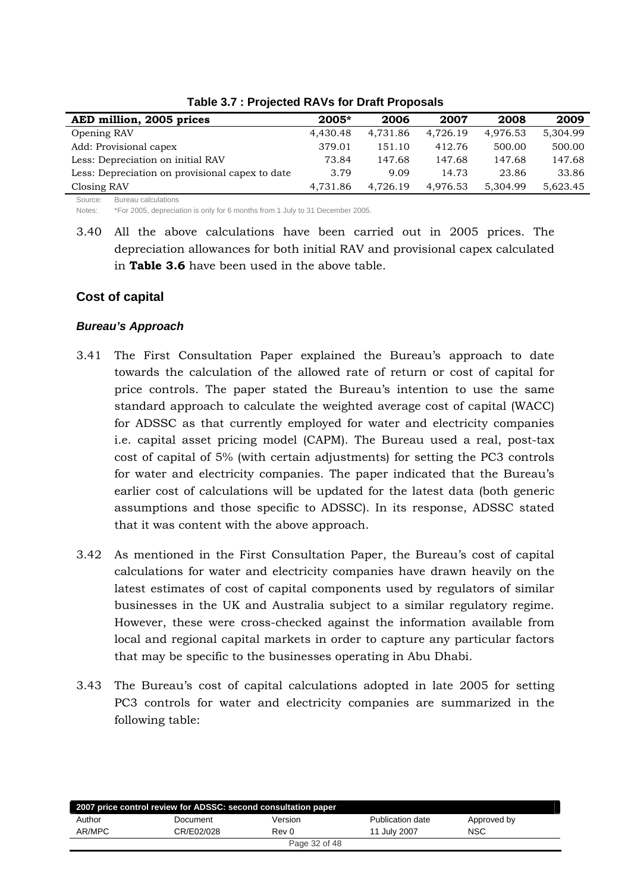<span id="page-31-0"></span>

| AED million, 2005 prices                        | $2005*$  | 2006     | 2007     | 2008     | 2009     |
|-------------------------------------------------|----------|----------|----------|----------|----------|
| Opening RAV                                     | 4.430.48 | 4,731.86 | 4,726.19 | 4.976.53 | 5.304.99 |
| Add: Provisional capex                          | 379.01   | 151.10   | 412.76   | 500.00   | 500.00   |
| Less: Depreciation on initial RAV               | 73.84    | 147.68   | 147.68   | 147.68   | 147.68   |
| Less: Depreciation on provisional capex to date | 3.79     | 9.09     | 14.73    | 23.86    | 33.86    |
| Closing RAV                                     | 4.731.86 | 4.726.19 | 4.976.53 | 5,304.99 | 5,623.45 |

#### **Table 3.7 : Projected RAVs for Draft Proposals**

Source: Bureau calculations

Notes: \*For 2005, depreciation is only for 6 months from 1 July to 31 December 2005.

3.40 All the above calculations have been carried out in 2005 prices. The depreciation allowances for both initial RAV and provisional capex calculated in **Table 3.6** have been used in the above table.

## **Cost of capital**

## *Bureau's Approach*

- 3.41 The First Consultation Paper explained the Bureau's approach to date towards the calculation of the allowed rate of return or cost of capital for price controls. The paper stated the Bureau's intention to use the same standard approach to calculate the weighted average cost of capital (WACC) for ADSSC as that currently employed for water and electricity companies i.e. capital asset pricing model (CAPM). The Bureau used a real, post-tax cost of capital of 5% (with certain adjustments) for setting the PC3 controls for water and electricity companies. The paper indicated that the Bureau's earlier cost of calculations will be updated for the latest data (both generic assumptions and those specific to ADSSC). In its response, ADSSC stated that it was content with the above approach.
- 3.42 As mentioned in the First Consultation Paper, the Bureau's cost of capital calculations for water and electricity companies have drawn heavily on the latest estimates of cost of capital components used by regulators of similar businesses in the UK and Australia subject to a similar regulatory regime. However, these were cross-checked against the information available from local and regional capital markets in order to capture any particular factors that may be specific to the businesses operating in Abu Dhabi.
- 3.43 The Bureau's cost of capital calculations adopted in late 2005 for setting PC3 controls for water and electricity companies are summarized in the following table:

| 2007 price control review for ADSSC: second consultation paper |            |               |                  |             |  |  |  |
|----------------------------------------------------------------|------------|---------------|------------------|-------------|--|--|--|
| Author                                                         | Document   | Version       | Publication date | Approved by |  |  |  |
| AR/MPC                                                         | CR/E02/028 | Rev 0         | 11 July 2007     | <b>NSC</b>  |  |  |  |
|                                                                |            | Page 32 of 48 |                  |             |  |  |  |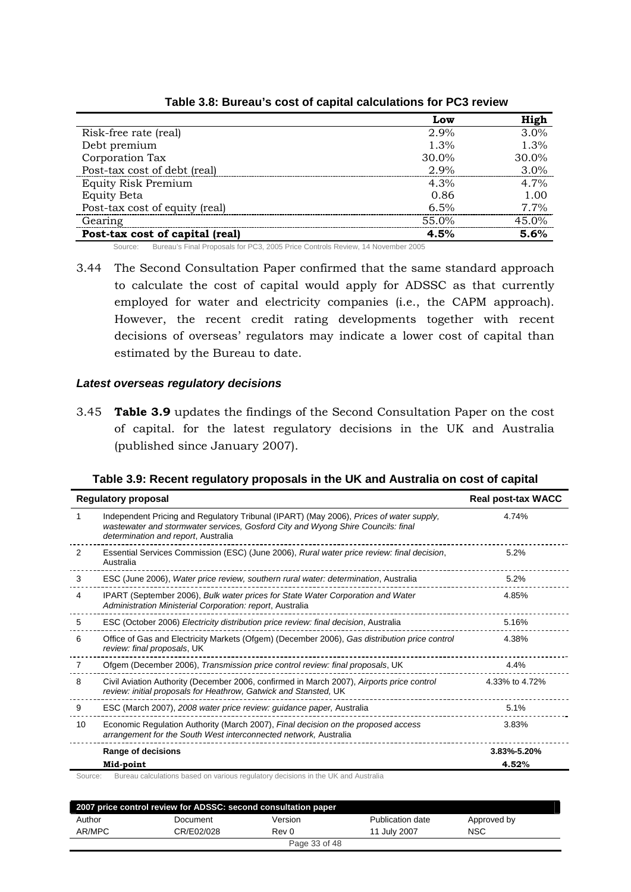<span id="page-32-0"></span>

|                                 | Low      | High  |
|---------------------------------|----------|-------|
| Risk-free rate (real)           | $2.9\%$  | 3.0%  |
| Debt premium                    | 1.3%     | 1.3%  |
| Corporation Tax                 | $30.0\%$ | 30.0% |
| Post-tax cost of debt (real)    | 2.9%     | 3.0%  |
| <b>Equity Risk Premium</b>      | $4.3\%$  | 4.7%  |
| <b>Equity Beta</b>              | 0.86     | 1.00  |
| Post-tax cost of equity (real)  | 6.5%     | 7.7%  |
| Gearing                         | 55.0%    | 45.0% |
| Post-tax cost of capital (real) | 4.5%     | 5.6%  |

**Table 3.8: Bureau's cost of capital calculations for PC3 review** 

Source: Bureau's Final Proposals for PC3, 2005 Price Controls Review, 14 November 2005

3.44 The Second Consultation Paper confirmed that the same standard approach to calculate the cost of capital would apply for ADSSC as that currently employed for water and electricity companies (i.e., the CAPM approach). However, the recent credit rating developments together with recent decisions of overseas' regulators may indicate a lower cost of capital than estimated by the Bureau to date.

#### *Latest overseas regulatory decisions*

3.45 **Table 3.9** updates the findings of the Second Consultation Paper on the cost of capital. for the latest regulatory decisions in the UK and Australia (published since January 2007).

| Table 3.9: Recent regulatory proposals in the UK and Australia on cost of capital |
|-----------------------------------------------------------------------------------|
|-----------------------------------------------------------------------------------|

|    | <b>Regulatory proposal</b>                                                                                                                                                                                         | <b>Real post-tax WACC</b> |
|----|--------------------------------------------------------------------------------------------------------------------------------------------------------------------------------------------------------------------|---------------------------|
| 1  | Independent Pricing and Regulatory Tribunal (IPART) (May 2006), Prices of water supply,<br>wastewater and stormwater services, Gosford City and Wyong Shire Councils: final<br>determination and report, Australia | 4.74%                     |
| 2  | Essential Services Commission (ESC) (June 2006), Rural water price review: final decision,<br>Australia                                                                                                            | 5.2%                      |
| 3  | ESC (June 2006), Water price review, southern rural water: determination, Australia                                                                                                                                | 5.2%                      |
| 4  | IPART (September 2006), Bulk water prices for State Water Corporation and Water<br>Administration Ministerial Corporation: report, Australia                                                                       | 4.85%                     |
| 5  | ESC (October 2006) Electricity distribution price review: final decision, Australia                                                                                                                                | 5.16%                     |
| 6  | Office of Gas and Electricity Markets (Ofgem) (December 2006), Gas distribution price control<br>review: final proposals, UK                                                                                       | 4.38%                     |
| 7  | Ofgem (December 2006), Transmission price control review: final proposals, UK                                                                                                                                      | 4.4%                      |
| 8  | Civil Aviation Authority (December 2006, confirmed in March 2007), Airports price control<br>review: initial proposals for Heathrow, Gatwick and Stansted, UK                                                      | 4.33% to 4.72%            |
| 9  | ESC (March 2007), 2008 water price review: guidance paper, Australia                                                                                                                                               | 5.1%                      |
| 10 | Economic Regulation Authority (March 2007), Final decision on the proposed access<br>arrangement for the South West interconnected network, Australia                                                              | 3.83%                     |
|    | Range of decisions                                                                                                                                                                                                 | 3.83%-5.20%               |
|    | Mid-point                                                                                                                                                                                                          | 4.52%                     |

| 2007 price control review for ADSSC: second consultation paper |            |               |                  |             |  |  |
|----------------------------------------------------------------|------------|---------------|------------------|-------------|--|--|
| Author                                                         | Document   | Version       | Publication date | Approved by |  |  |
| AR/MPC                                                         | CR/E02/028 | Rev 0         | 11 July 2007     | <b>NSC</b>  |  |  |
|                                                                |            | Page 33 of 48 |                  |             |  |  |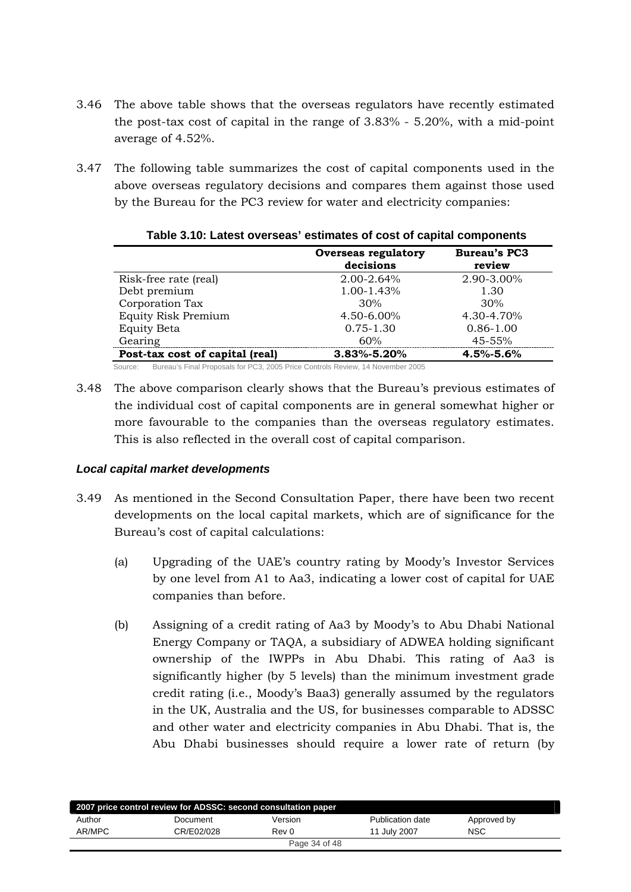- <span id="page-33-0"></span>3.46 The above table shows that the overseas regulators have recently estimated the post-tax cost of capital in the range of 3.83% - 5.20%, with a mid-point average of 4.52%.
- 3.47 The following table summarizes the cost of capital components used in the above overseas regulatory decisions and compares them against those used by the Bureau for the PC3 review for water and electricity companies:

|                                                                                           | <b>Overseas regulatory</b><br>decisions | <b>Bureau's PC3</b><br>review |
|-------------------------------------------------------------------------------------------|-----------------------------------------|-------------------------------|
| Risk-free rate (real)                                                                     | 2.00-2.64%                              | 2.90-3.00%                    |
| Debt premium                                                                              | 1.00-1.43%                              | 1.30                          |
| Corporation Tax                                                                           | 30%                                     | 30%                           |
| <b>Equity Risk Premium</b>                                                                | 4.50-6.00%                              | 4.30-4.70%                    |
| <b>Equity Beta</b>                                                                        | $0.75 - 1.30$                           | $0.86 - 1.00$                 |
| Gearing                                                                                   | 60%                                     | 45-55%                        |
| Post-tax cost of capital (real)                                                           | $3.83\% - 5.20\%$                       | $4.5\% - 5.6\%$               |
| Bureau's Final Proposals for PC3, 2005 Price Controls Review, 14 November 2005<br>Source: |                                         |                               |

#### **Table 3.10: Latest overseas' estimates of cost of capital components**

3.48 The above comparison clearly shows that the Bureau's previous estimates of the individual cost of capital components are in general somewhat higher or more favourable to the companies than the overseas regulatory estimates. This is also reflected in the overall cost of capital comparison.

# *Local capital market developments*

- 3.49 As mentioned in the Second Consultation Paper, there have been two recent developments on the local capital markets, which are of significance for the Bureau's cost of capital calculations:
	- (a) Upgrading of the UAE's country rating by Moody's Investor Services by one level from A1 to Aa3, indicating a lower cost of capital for UAE companies than before.
	- (b) Assigning of a credit rating of Aa3 by Moody's to Abu Dhabi National Energy Company or TAQA, a subsidiary of ADWEA holding significant ownership of the IWPPs in Abu Dhabi. This rating of Aa3 is significantly higher (by 5 levels) than the minimum investment grade credit rating (i.e., Moody's Baa3) generally assumed by the regulators in the UK, Australia and the US, for businesses comparable to ADSSC and other water and electricity companies in Abu Dhabi. That is, the Abu Dhabi businesses should require a lower rate of return (by

| 2007 price control review for ADSSC: second consultation paper |            |               |                  |             |  |  |
|----------------------------------------------------------------|------------|---------------|------------------|-------------|--|--|
|                                                                |            |               |                  |             |  |  |
| Author                                                         | Document   | Version       | Publication date | Approved by |  |  |
| AR/MPC                                                         | CR/E02/028 | Rev 0         | 11 July 2007     | <b>NSC</b>  |  |  |
|                                                                |            | Page 34 of 48 |                  |             |  |  |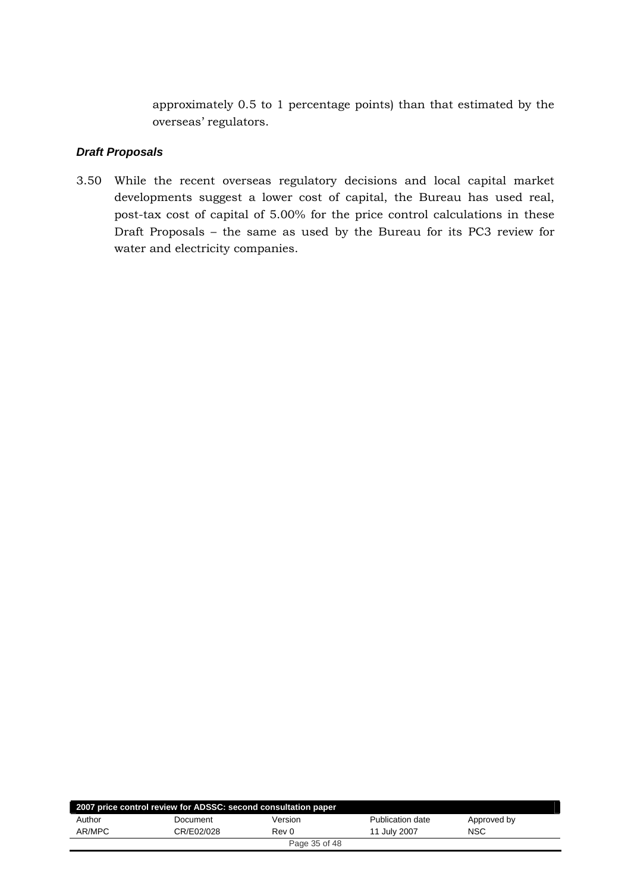approximately 0.5 to 1 percentage points) than that estimated by the overseas' regulators.

#### <span id="page-34-0"></span>*Draft Proposals*

3.50 While the recent overseas regulatory decisions and local capital market developments suggest a lower cost of capital, the Bureau has used real, post-tax cost of capital of 5.00% for the price control calculations in these Draft Proposals – the same as used by the Bureau for its PC3 review for water and electricity companies.

| 2007 price control review for ADSSC: second consultation paper |            |               |                  |             |  |  |
|----------------------------------------------------------------|------------|---------------|------------------|-------------|--|--|
| Author                                                         | Document   | Version       | Publication date | Approved by |  |  |
| AR/MPC                                                         | CR/E02/028 | Rev 0         | 11 July 2007     | <b>NSC</b>  |  |  |
|                                                                |            | Page 35 of 48 |                  |             |  |  |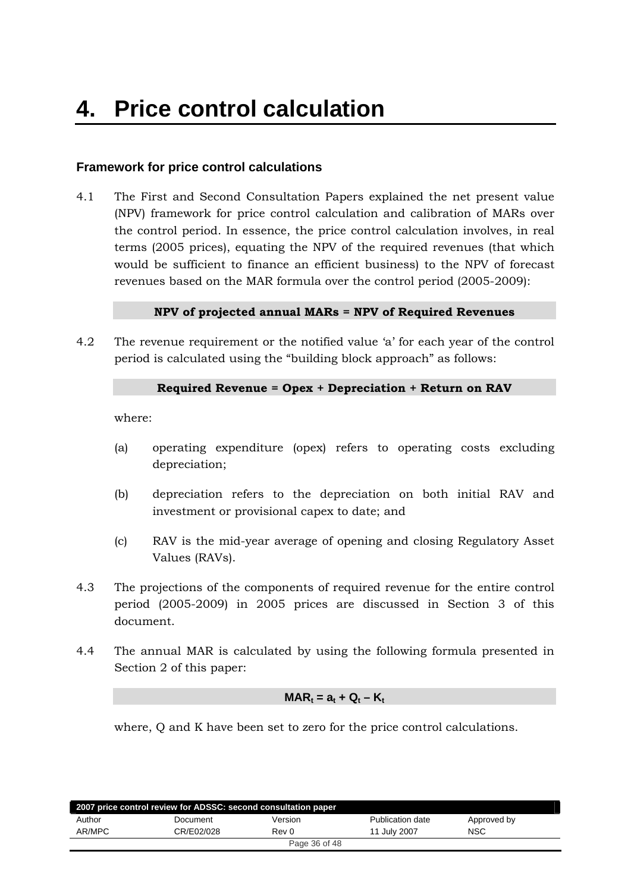# <span id="page-35-0"></span>**Framework for price control calculations**

4.1 The First and Second Consultation Papers explained the net present value (NPV) framework for price control calculation and calibration of MARs over the control period. In essence, the price control calculation involves, in real terms (2005 prices), equating the NPV of the required revenues (that which would be sufficient to finance an efficient business) to the NPV of forecast revenues based on the MAR formula over the control period (2005-2009):

#### **NPV of projected annual MARs = NPV of Required Revenues**

4.2 The revenue requirement or the notified value 'a' for each year of the control period is calculated using the "building block approach" as follows:

#### **Required Revenue = Opex + Depreciation + Return on RAV**

where:

- (a) operating expenditure (opex) refers to operating costs excluding depreciation;
- (b) depreciation refers to the depreciation on both initial RAV and investment or provisional capex to date; and
- (c) RAV is the mid-year average of opening and closing Regulatory Asset Values (RAVs).
- 4.3 The projections of the components of required revenue for the entire control period (2005-2009) in 2005 prices are discussed in Section 3 of this document.
- 4.4 The annual MAR is calculated by using the following formula presented in Section 2 of this paper:

#### $\mathsf{MAR}_t = a_t + Q_t - K_t$

where, Q and K have been set to zero for the price control calculations.

| 2007 price control review for ADSSC: second consultation paper |            |               |                  |             |  |  |
|----------------------------------------------------------------|------------|---------------|------------------|-------------|--|--|
| Author                                                         | Document   | Version       | Publication date | Approved by |  |  |
| AR/MPC                                                         | CR/E02/028 | Rev 0         | 11 July 2007     | <b>NSC</b>  |  |  |
|                                                                |            | Page 36 of 48 |                  |             |  |  |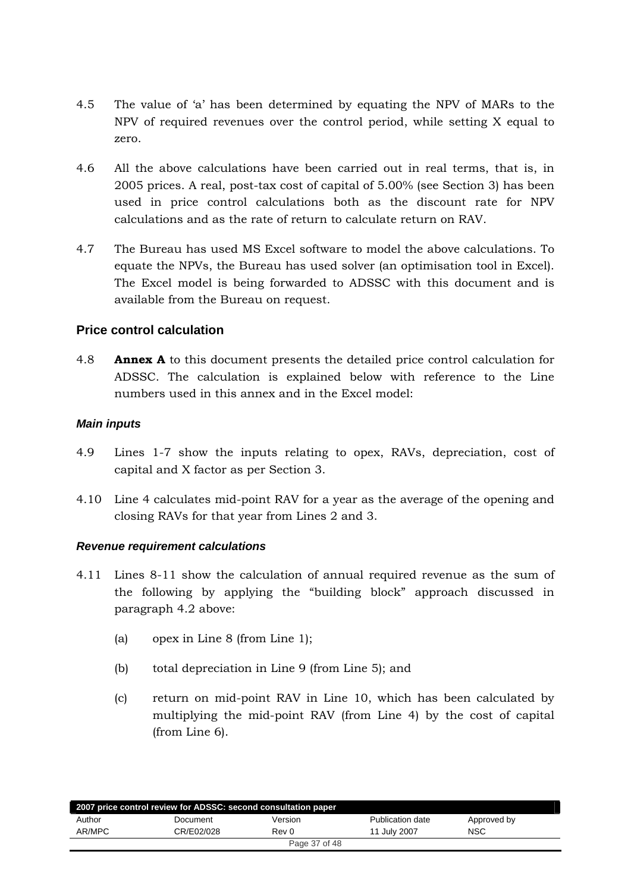- <span id="page-36-0"></span>4.5 The value of 'a' has been determined by equating the NPV of MARs to the NPV of required revenues over the control period, while setting X equal to zero.
- 4.6 All the above calculations have been carried out in real terms, that is, in 2005 prices. A real, post-tax cost of capital of 5.00% (see Section 3) has been used in price control calculations both as the discount rate for NPV calculations and as the rate of return to calculate return on RAV.
- 4.7 The Bureau has used MS Excel software to model the above calculations. To equate the NPVs, the Bureau has used solver (an optimisation tool in Excel). The Excel model is being forwarded to ADSSC with this document and is available from the Bureau on request.

# **Price control calculation**

4.8 **Annex A** to this document presents the detailed price control calculation for ADSSC. The calculation is explained below with reference to the Line numbers used in this annex and in the Excel model:

## *Main inputs*

- 4.9 Lines 1-7 show the inputs relating to opex, RAVs, depreciation, cost of capital and X factor as per Section 3.
- 4.10 Line 4 calculates mid-point RAV for a year as the average of the opening and closing RAVs for that year from Lines 2 and 3.

# *Revenue requirement calculations*

- 4.11 Lines 8-11 show the calculation of annual required revenue as the sum of the following by applying the "building block" approach discussed in paragraph 4.2 above:
	- (a) opex in Line 8 (from Line 1);
	- (b) total depreciation in Line 9 (from Line 5); and
	- (c) return on mid-point RAV in Line 10, which has been calculated by multiplying the mid-point RAV (from Line 4) by the cost of capital (from Line 6).

| 2007 price control review for ADSSC: second consultation paper |            |               |                  |             |  |  |
|----------------------------------------------------------------|------------|---------------|------------------|-------------|--|--|
| Author                                                         | Document   | Version       | Publication date | Approved by |  |  |
| AR/MPC                                                         | CR/E02/028 | Rev 0         | 11 July 2007     | <b>NSC</b>  |  |  |
|                                                                |            | Page 37 of 48 |                  |             |  |  |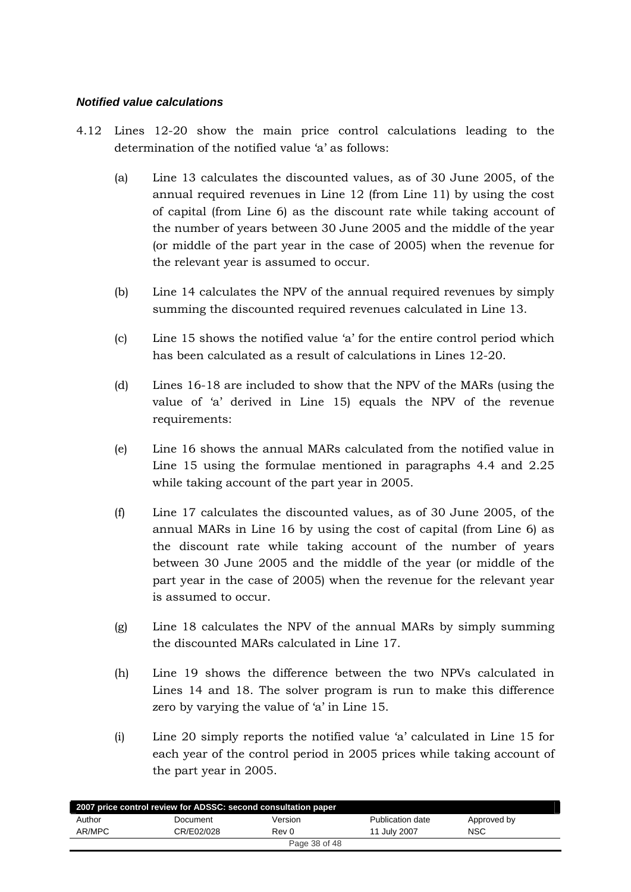#### <span id="page-37-0"></span>*Notified value calculations*

- 4.12 Lines 12-20 show the main price control calculations leading to the determination of the notified value 'a' as follows:
	- (a) Line 13 calculates the discounted values, as of 30 June 2005, of the annual required revenues in Line 12 (from Line 11) by using the cost of capital (from Line 6) as the discount rate while taking account of the number of years between 30 June 2005 and the middle of the year (or middle of the part year in the case of 2005) when the revenue for the relevant year is assumed to occur.
	- (b) Line 14 calculates the NPV of the annual required revenues by simply summing the discounted required revenues calculated in Line 13.
	- (c) Line 15 shows the notified value 'a' for the entire control period which has been calculated as a result of calculations in Lines 12-20.
	- (d) Lines 16-18 are included to show that the NPV of the MARs (using the value of 'a' derived in Line 15) equals the NPV of the revenue requirements:
	- (e) Line 16 shows the annual MARs calculated from the notified value in Line 15 using the formulae mentioned in paragraphs 4.4 and 2.25 while taking account of the part year in 2005.
	- (f) Line 17 calculates the discounted values, as of 30 June 2005, of the annual MARs in Line 16 by using the cost of capital (from Line 6) as the discount rate while taking account of the number of years between 30 June 2005 and the middle of the year (or middle of the part year in the case of 2005) when the revenue for the relevant year is assumed to occur.
	- (g) Line 18 calculates the NPV of the annual MARs by simply summing the discounted MARs calculated in Line 17.
	- (h) Line 19 shows the difference between the two NPVs calculated in Lines 14 and 18. The solver program is run to make this difference zero by varying the value of 'a' in Line 15.
	- (i) Line 20 simply reports the notified value 'a' calculated in Line 15 for each year of the control period in 2005 prices while taking account of the part year in 2005.

| 2007 price control review for ADSSC: second consultation paper |            |               |                         |             |  |  |
|----------------------------------------------------------------|------------|---------------|-------------------------|-------------|--|--|
| Author                                                         | Document   | Version       | <b>Publication date</b> | Approved by |  |  |
| AR/MPC                                                         | CR/E02/028 | Rev 0         | 11 July 2007            | NSC         |  |  |
|                                                                |            | Page 38 of 48 |                         |             |  |  |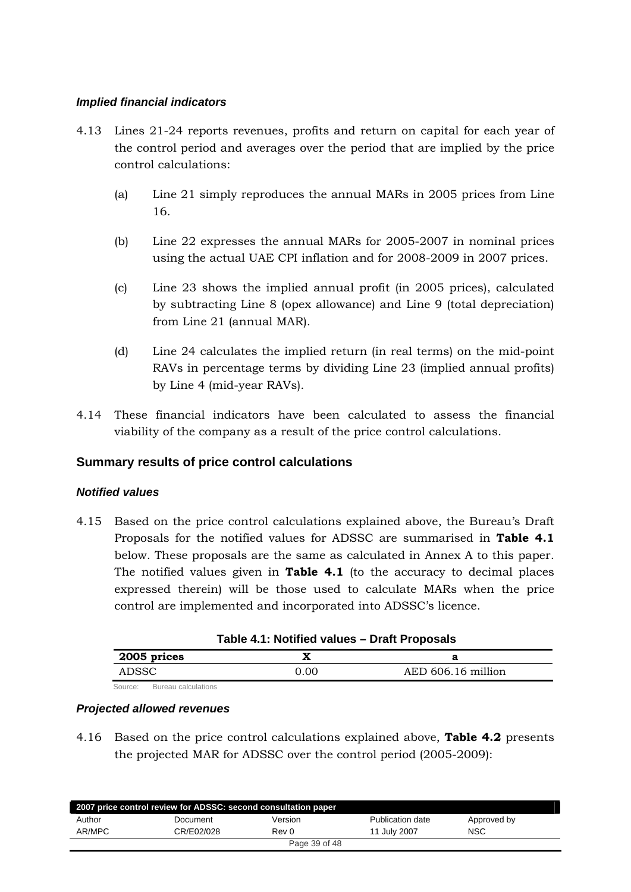## <span id="page-38-0"></span>*Implied financial indicators*

- 4.13 Lines 21-24 reports revenues, profits and return on capital for each year of the control period and averages over the period that are implied by the price control calculations:
	- (a) Line 21 simply reproduces the annual MARs in 2005 prices from Line 16.
	- (b) Line 22 expresses the annual MARs for 2005-2007 in nominal prices using the actual UAE CPI inflation and for 2008-2009 in 2007 prices.
	- (c) Line 23 shows the implied annual profit (in 2005 prices), calculated by subtracting Line 8 (opex allowance) and Line 9 (total depreciation) from Line 21 (annual MAR).
	- (d) Line 24 calculates the implied return (in real terms) on the mid-point RAVs in percentage terms by dividing Line 23 (implied annual profits) by Line 4 (mid-year RAVs).
- 4.14 These financial indicators have been calculated to assess the financial viability of the company as a result of the price control calculations.

# **Summary results of price control calculations**

# *Notified values*

4.15 Based on the price control calculations explained above, the Bureau's Draft Proposals for the notified values for ADSSC are summarised in **Table 4.1** below. These proposals are the same as calculated in Annex A to this paper. The notified values given in **Table 4.1** (to the accuracy to decimal places expressed therein) will be those used to calculate MARs when the price control are implemented and incorporated into ADSSC's licence.

| Table 4.1: Notified values - Draft Proposals |  |  |
|----------------------------------------------|--|--|
|----------------------------------------------|--|--|

| 2005 prices |      |                    |
|-------------|------|--------------------|
| ADSSC       | 0.00 | AED 606.16 million |
|             |      |                    |

Source: Bureau calculations

# *Projected allowed revenues*

4.16 Based on the price control calculations explained above, **Table 4.2** presents the projected MAR for ADSSC over the control period (2005-2009):

|        | 2007 price control review for ADSSC: second consultation paper |               |                  |             |  |
|--------|----------------------------------------------------------------|---------------|------------------|-------------|--|
| Author | Document                                                       | Version       | Publication date | Approved by |  |
| AR/MPC | CR/E02/028                                                     | Rev 0         | 11 July 2007     | <b>NSC</b>  |  |
|        |                                                                | Page 39 of 48 |                  |             |  |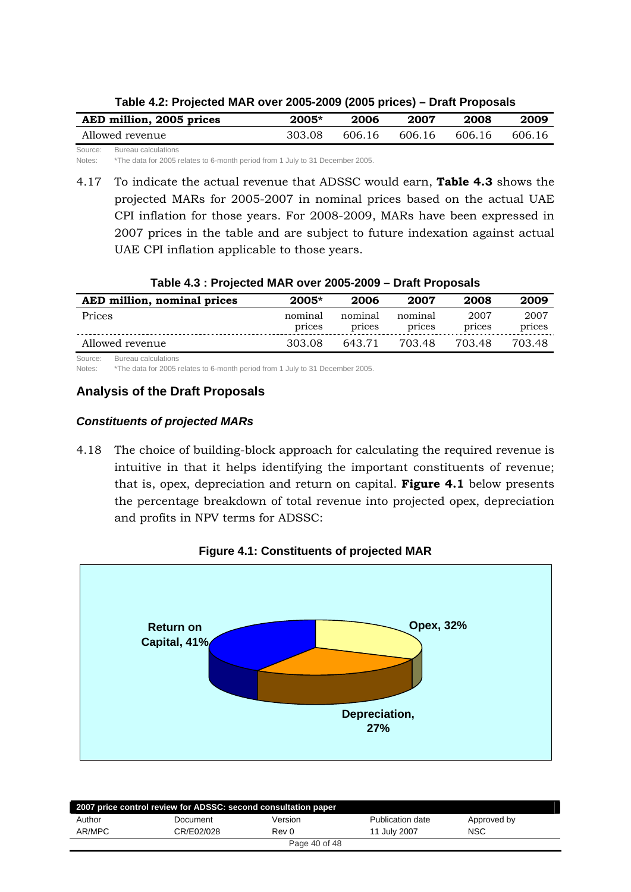<span id="page-39-0"></span>

| AED million, 2005 prices       | $2005*$ | 2006   | 2007   | 2008   | 2009   |
|--------------------------------|---------|--------|--------|--------|--------|
| Allowed revenue                | 303.08  | 606.16 | 606.16 | 606.16 | 606.16 |
| Source:<br>Bureau calculations |         |        |        |        |        |

**Table 4.2: Projected MAR over 2005-2009 (2005 prices) – Draft Proposals** 

Notes: \*The data for 2005 relates to 6-month period from 1 July to 31 December 2005.

4.17 To indicate the actual revenue that ADSSC would earn, **Table 4.3** shows the projected MARs for 2005-2007 in nominal prices based on the actual UAE CPI inflation for those years. For 2008-2009, MARs have been expressed in 2007 prices in the table and are subject to future indexation against actual UAE CPI inflation applicable to those years.

#### **Table 4.3 : Projected MAR over 2005-2009 – Draft Proposals**

| AED million, nominal prices | $2005*$           | 2006              | 2007              | 2008           | 2009           |
|-----------------------------|-------------------|-------------------|-------------------|----------------|----------------|
| Prices                      | nominal<br>prices | nominal<br>prices | nominal<br>prices | 2007<br>prices | 2007<br>prices |
| Allowed revenue             | 303.08            | 643.71            | 703.48            | 703.48         | 703.48         |

Source: Bureau calculations

Notes: \*The data for 2005 relates to 6-month period from 1 July to 31 December 2005.

## **Analysis of the Draft Proposals**

## *Constituents of projected MARs*

4.18 The choice of building-block approach for calculating the required revenue is intuitive in that it helps identifying the important constituents of revenue; that is, opex, depreciation and return on capital. **Figure 4.1** below presents the percentage breakdown of total revenue into projected opex, depreciation and profits in NPV terms for ADSSC:



**Figure 4.1: Constituents of projected MAR** 

|        | 2007 price control review for ADSSC: second consultation paper |               |                  |             |
|--------|----------------------------------------------------------------|---------------|------------------|-------------|
| Author | Document                                                       | Version       | Publication date | Approved by |
| AR/MPC | CR/E02/028                                                     | Rev 0         | 11 July 2007     | <b>NSC</b>  |
|        |                                                                | Page 40 of 48 |                  |             |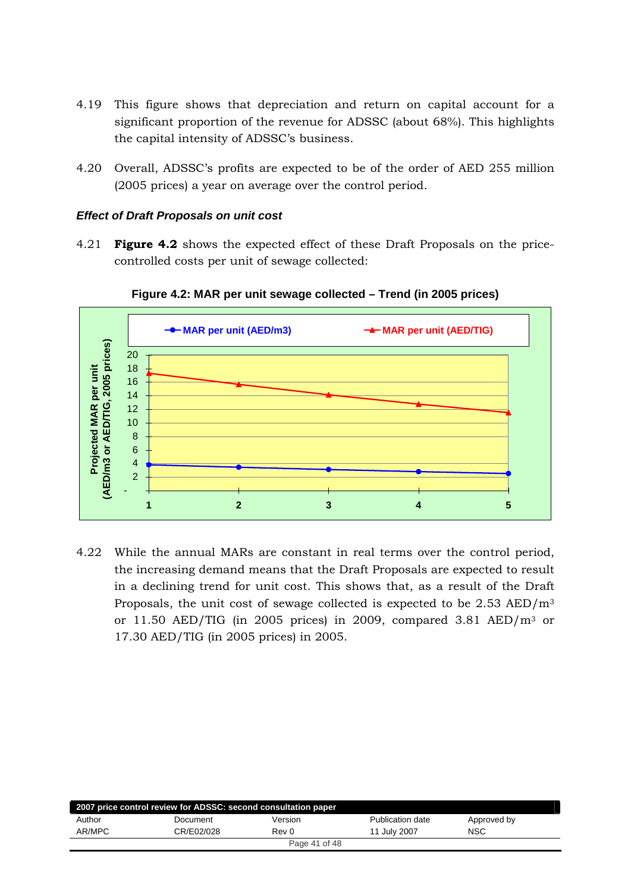- <span id="page-40-0"></span>4.19 This figure shows that depreciation and return on capital account for a significant proportion of the revenue for ADSSC (about 68%). This highlights the capital intensity of ADSSC's business.
- 4.20 Overall, ADSSC's profits are expected to be of the order of AED 255 million (2005 prices) a year on average over the control period.

#### *Effect of Draft Proposals on unit cost*

4.21 **Figure 4.2** shows the expected effect of these Draft Proposals on the pricecontrolled costs per unit of sewage collected:



**Figure 4.2: MAR per unit sewage collected – Trend (in 2005 prices)** 

4.22 While the annual MARs are constant in real terms over the control period, the increasing demand means that the Draft Proposals are expected to result in a declining trend for unit cost. This shows that, as a result of the Draft Proposals, the unit cost of sewage collected is expected to be 2.53 AED/m3 or 11.50 AED/TIG (in 2005 prices) in 2009, compared 3.81 AED/m3 or 17.30 AED/TIG (in 2005 prices) in 2005.

|        | 2007 price control review for ADSSC: second consultation paper |               |                  |             |  |
|--------|----------------------------------------------------------------|---------------|------------------|-------------|--|
| Author | Document                                                       | Version       | Publication date | Approved by |  |
| AR/MPC | CR/E02/028                                                     | Rev 0         | 11 July 2007     | <b>NSC</b>  |  |
|        |                                                                | Page 41 of 48 |                  |             |  |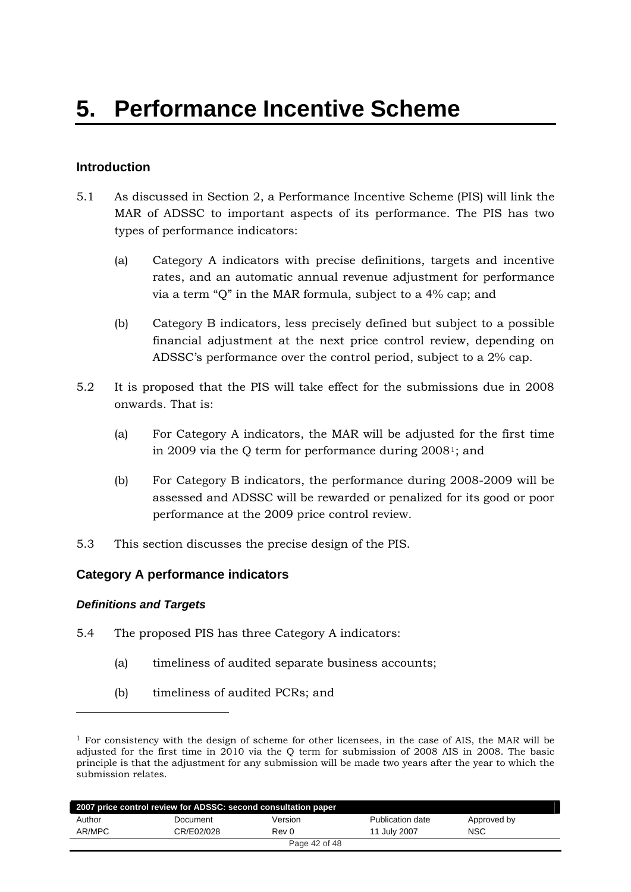# <span id="page-41-0"></span>**Introduction**

- 5.1 As discussed in Section 2, a Performance Incentive Scheme (PIS) will link the MAR of ADSSC to important aspects of its performance. The PIS has two types of performance indicators:
	- (a) Category A indicators with precise definitions, targets and incentive rates, and an automatic annual revenue adjustment for performance via a term "Q" in the MAR formula, subject to a 4% cap; and
	- (b) Category B indicators, less precisely defined but subject to a possible financial adjustment at the next price control review, depending on ADSSC's performance over the control period, subject to a 2% cap.
- 5.2 It is proposed that the PIS will take effect for the submissions due in 2008 onwards. That is:
	- (a) For Category A indicators, the MAR will be adjusted for the first time in 2009 via the Q term for performance during 2008[1](#page-41-1); and
	- (b) For Category B indicators, the performance during 2008-2009 will be assessed and ADSSC will be rewarded or penalized for its good or poor performance at the 2009 price control review.
- 5.3 This section discusses the precise design of the PIS.

# **Category A performance indicators**

#### *Definitions and Targets*

-

- 5.4 The proposed PIS has three Category A indicators:
	- (a) timeliness of audited separate business accounts;
	- (b) timeliness of audited PCRs; and

<span id="page-41-1"></span> $<sup>1</sup>$  For consistency with the design of scheme for other licensees, in the case of AIS, the MAR will be</sup> adjusted for the first time in 2010 via the Q term for submission of 2008 AIS in 2008. The basic principle is that the adjustment for any submission will be made two years after the year to which the submission relates.

|        | 2007 price control review for ADSSC: second consultation paper |               |                  |             |
|--------|----------------------------------------------------------------|---------------|------------------|-------------|
| Author | Document                                                       | Version       | Publication date | Approved by |
| AR/MPC | CR/E02/028                                                     | Rev 0         | 11 July 2007     | <b>NSC</b>  |
|        |                                                                | Page 42 of 48 |                  |             |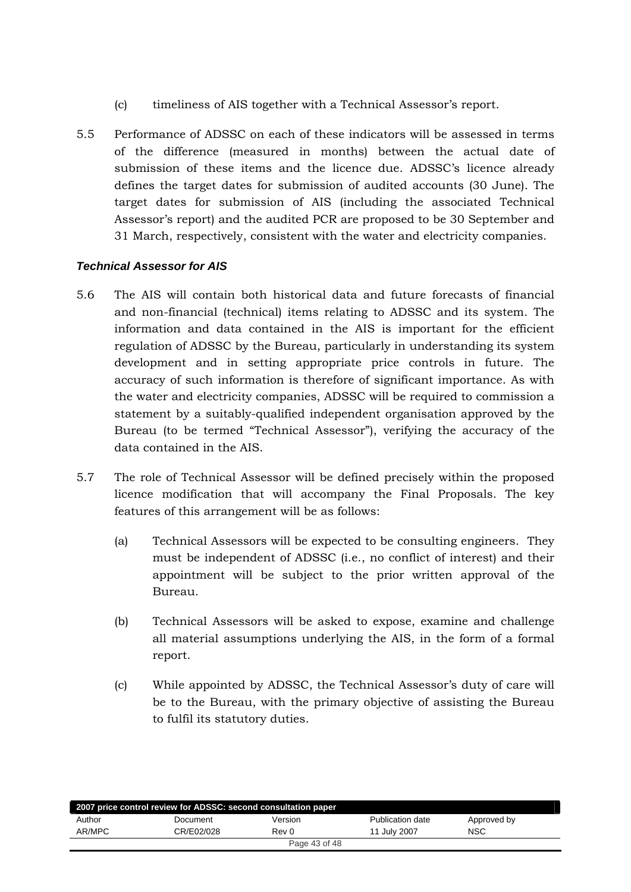- (c) timeliness of AIS together with a Technical Assessor's report.
- <span id="page-42-0"></span>5.5 Performance of ADSSC on each of these indicators will be assessed in terms of the difference (measured in months) between the actual date of submission of these items and the licence due. ADSSC's licence already defines the target dates for submission of audited accounts (30 June). The target dates for submission of AIS (including the associated Technical Assessor's report) and the audited PCR are proposed to be 30 September and 31 March, respectively, consistent with the water and electricity companies.

# *Technical Assessor for AIS*

- 5.6 The AIS will contain both historical data and future forecasts of financial and non-financial (technical) items relating to ADSSC and its system. The information and data contained in the AIS is important for the efficient regulation of ADSSC by the Bureau, particularly in understanding its system development and in setting appropriate price controls in future. The accuracy of such information is therefore of significant importance. As with the water and electricity companies, ADSSC will be required to commission a statement by a suitably-qualified independent organisation approved by the Bureau (to be termed "Technical Assessor"), verifying the accuracy of the data contained in the AIS.
- 5.7 The role of Technical Assessor will be defined precisely within the proposed licence modification that will accompany the Final Proposals. The key features of this arrangement will be as follows:
	- (a) Technical Assessors will be expected to be consulting engineers. They must be independent of ADSSC (i.e., no conflict of interest) and their appointment will be subject to the prior written approval of the Bureau.
	- (b) Technical Assessors will be asked to expose, examine and challenge all material assumptions underlying the AIS, in the form of a formal report.
	- (c) While appointed by ADSSC, the Technical Assessor's duty of care will be to the Bureau, with the primary objective of assisting the Bureau to fulfil its statutory duties.

|        | 2007 price control review for ADSSC: second consultation paper |               |                  |             |  |
|--------|----------------------------------------------------------------|---------------|------------------|-------------|--|
| Author | Document                                                       | Version       | Publication date | Approved by |  |
| AR/MPC | CR/E02/028                                                     | Rev 0         | 11 July 2007     | <b>NSC</b>  |  |
|        |                                                                | Page 43 of 48 |                  |             |  |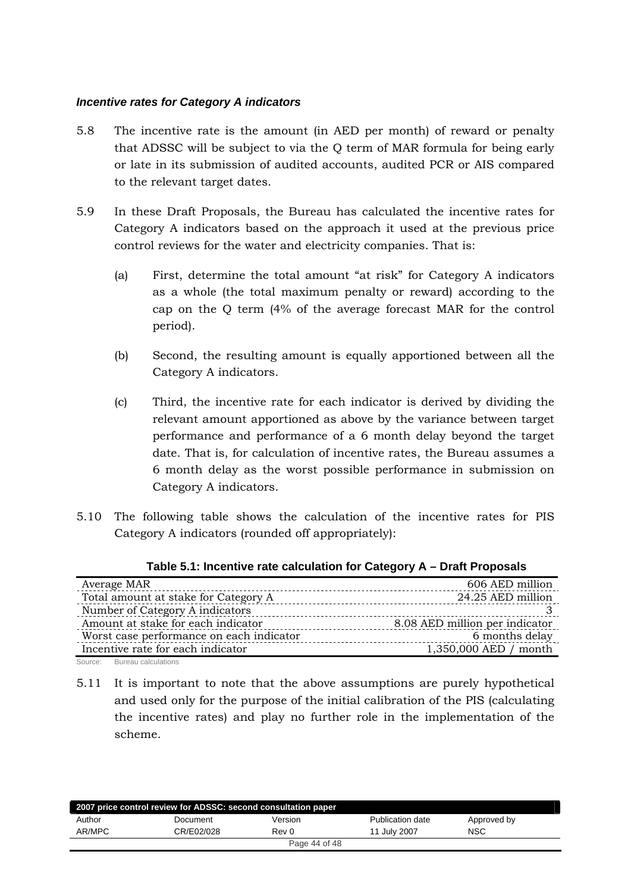#### <span id="page-43-0"></span>*Incentive rates for Category A indicators*

- 5.8 The incentive rate is the amount (in AED per month) of reward or penalty that ADSSC will be subject to via the Q term of MAR formula for being early or late in its submission of audited accounts, audited PCR or AIS compared to the relevant target dates.
- 5.9 In these Draft Proposals, the Bureau has calculated the incentive rates for Category A indicators based on the approach it used at the previous price control reviews for the water and electricity companies. That is:
	- (a) First, determine the total amount "at risk" for Category A indicators as a whole (the total maximum penalty or reward) according to the cap on the Q term (4% of the average forecast MAR for the control period).
	- (b) Second, the resulting amount is equally apportioned between all the Category A indicators.
	- (c) Third, the incentive rate for each indicator is derived by dividing the relevant amount apportioned as above by the variance between target performance and performance of a 6 month delay beyond the target date. That is, for calculation of incentive rates, the Bureau assumes a 6 month delay as the worst possible performance in submission on Category A indicators.
- 5.10 The following table shows the calculation of the incentive rates for PIS Category A indicators (rounded off appropriately):

| Average MAR                              | 606 AED million                |
|------------------------------------------|--------------------------------|
| Total amount at stake for Category A     | 24.25 AED million              |
| Number of Category A indicators          |                                |
| Amount at stake for each indicator       | 8.08 AED million per indicator |
| Worst case performance on each indicator | 6 months delay                 |
| Incentive rate for each indicator        | 1,350,000 AED / month          |
|                                          |                                |

**Table 5.1: Incentive rate calculation for Category A – Draft Proposals** 

Source: Bureau calculations

5.11 It is important to note that the above assumptions are purely hypothetical and used only for the purpose of the initial calibration of the PIS (calculating the incentive rates) and play no further role in the implementation of the scheme.

|        | 2007 price control review for ADSSC: second consultation paper |               |                  |             |  |
|--------|----------------------------------------------------------------|---------------|------------------|-------------|--|
| Author | Document                                                       | Version       | Publication date | Approved by |  |
| AR/MPC | CR/E02/028                                                     | Rev 0         | 11 July 2007     | <b>NSC</b>  |  |
|        |                                                                | Page 44 of 48 |                  |             |  |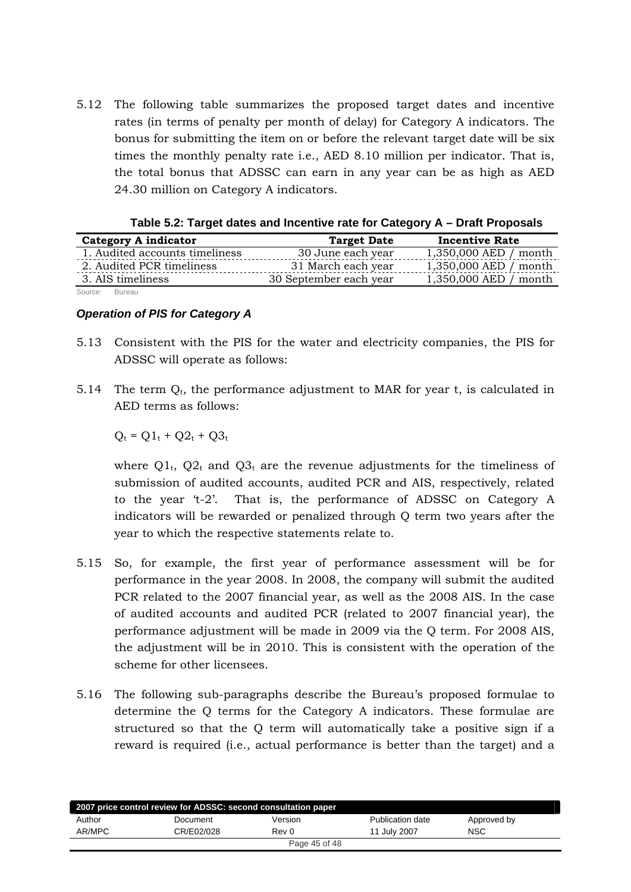<span id="page-44-0"></span>5.12 The following table summarizes the proposed target dates and incentive rates (in terms of penalty per month of delay) for Category A indicators. The bonus for submitting the item on or before the relevant target date will be six times the monthly penalty rate i.e., AED 8.10 million per indicator. That is, the total bonus that ADSSC can earn in any year can be as high as AED 24.30 million on Category A indicators.

|                                | $1$ abic J.2. Target dates and incentive rate for Category $A = D$ rait Froposais |                       |
|--------------------------------|-----------------------------------------------------------------------------------|-----------------------|
| <b>Category A indicator</b>    | <b>Target Date</b>                                                                | <b>Incentive Rate</b> |
| 1. Audited accounts timeliness | 30 June each year                                                                 | 1,350,000 AED / month |
| 2. Audited PCR timeliness      | 31 March each year                                                                | 1,350,000 AED / month |
| 3. AIS timeliness              | 30 September each year                                                            | 1,350,000 AED / month |
| Source: Bureau                 |                                                                                   |                       |

| Table 5.2: Target dates and Incentive rate for Category A – Draft Proposals |  |
|-----------------------------------------------------------------------------|--|
|-----------------------------------------------------------------------------|--|

#### *Operation of PIS for Category A*

- 5.13 Consistent with the PIS for the water and electricity companies, the PIS for ADSSC will operate as follows:
- 5.14 The term  $O_t$ , the performance adjustment to MAR for year t, is calculated in AED terms as follows:

 $Q_t = Q1_t + Q2_t + Q3_t$ 

where  $Q_1$ ,  $Q_2$  and  $Q_3$  are the revenue adjustments for the timeliness of submission of audited accounts, audited PCR and AIS, respectively, related to the year 't-2'. That is, the performance of ADSSC on Category A indicators will be rewarded or penalized through Q term two years after the year to which the respective statements relate to.

- 5.15 So, for example, the first year of performance assessment will be for performance in the year 2008. In 2008, the company will submit the audited PCR related to the 2007 financial year, as well as the 2008 AIS. In the case of audited accounts and audited PCR (related to 2007 financial year), the performance adjustment will be made in 2009 via the Q term. For 2008 AIS, the adjustment will be in 2010. This is consistent with the operation of the scheme for other licensees.
- 5.16 The following sub-paragraphs describe the Bureau's proposed formulae to determine the Q terms for the Category A indicators. These formulae are structured so that the Q term will automatically take a positive sign if a reward is required (i.e., actual performance is better than the target) and a

| 2007 price control review for ADSSC: second consultation paper |            |               |                  |             |  |  |
|----------------------------------------------------------------|------------|---------------|------------------|-------------|--|--|
| Author                                                         | Document   | Version       | Publication date | Approved by |  |  |
| AR/MPC                                                         | CR/E02/028 | Rev 0         | 11 July 2007     | <b>NSC</b>  |  |  |
|                                                                |            | Page 45 of 48 |                  |             |  |  |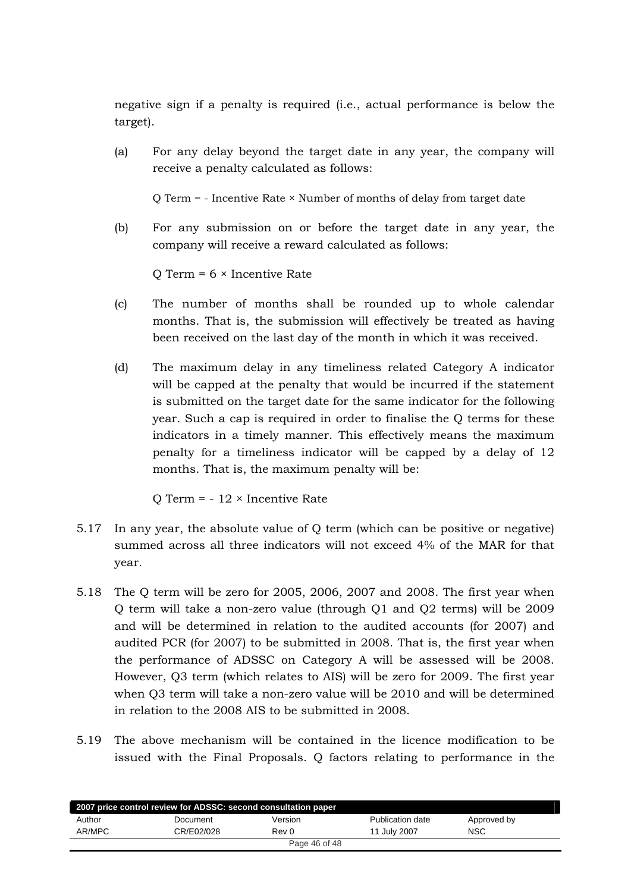negative sign if a penalty is required (i.e., actual performance is below the target).

(a) For any delay beyond the target date in any year, the company will receive a penalty calculated as follows:

Q Term = - Incentive Rate × Number of months of delay from target date

(b) For any submission on or before the target date in any year, the company will receive a reward calculated as follows:

 $O$  Term =  $6 \times$  Incentive Rate

- (c) The number of months shall be rounded up to whole calendar months. That is, the submission will effectively be treated as having been received on the last day of the month in which it was received.
- (d) The maximum delay in any timeliness related Category A indicator will be capped at the penalty that would be incurred if the statement is submitted on the target date for the same indicator for the following year. Such a cap is required in order to finalise the Q terms for these indicators in a timely manner. This effectively means the maximum penalty for a timeliness indicator will be capped by a delay of 12 months. That is, the maximum penalty will be:

Q Term =  $-12 \times$  Incentive Rate

- 5.17 In any year, the absolute value of Q term (which can be positive or negative) summed across all three indicators will not exceed 4% of the MAR for that year.
- 5.18 The Q term will be zero for 2005, 2006, 2007 and 2008. The first year when Q term will take a non-zero value (through Q1 and Q2 terms) will be 2009 and will be determined in relation to the audited accounts (for 2007) and audited PCR (for 2007) to be submitted in 2008. That is, the first year when the performance of ADSSC on Category A will be assessed will be 2008. However, Q3 term (which relates to AIS) will be zero for 2009. The first year when Q3 term will take a non-zero value will be 2010 and will be determined in relation to the 2008 AIS to be submitted in 2008.
- 5.19 The above mechanism will be contained in the licence modification to be issued with the Final Proposals. Q factors relating to performance in the

| 2007 price control review for ADSSC: second consultation paper |            |               |                  |             |  |  |
|----------------------------------------------------------------|------------|---------------|------------------|-------------|--|--|
| Author                                                         | Document   | Version       | Publication date | Approved by |  |  |
| AR/MPC                                                         | CR/E02/028 | Rev 0         | 11 July 2007     | <b>NSC</b>  |  |  |
|                                                                |            | Page 46 of 48 |                  |             |  |  |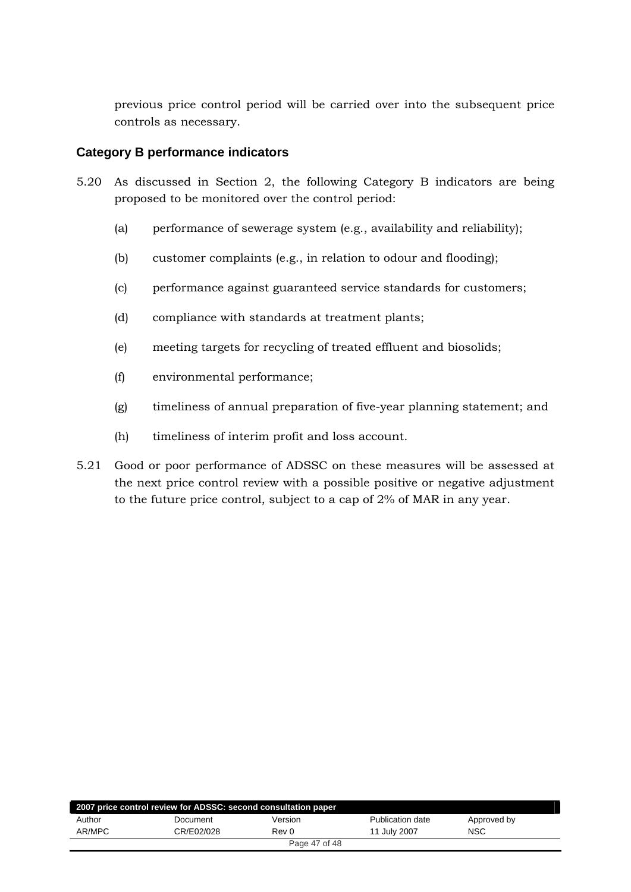<span id="page-46-0"></span>previous price control period will be carried over into the subsequent price controls as necessary.

# **Category B performance indicators**

- 5.20 As discussed in Section 2, the following Category B indicators are being proposed to be monitored over the control period:
	- (a) performance of sewerage system (e.g., availability and reliability);
	- (b) customer complaints (e.g., in relation to odour and flooding);
	- (c) performance against guaranteed service standards for customers;
	- (d) compliance with standards at treatment plants;
	- (e) meeting targets for recycling of treated effluent and biosolids;
	- (f) environmental performance;
	- (g) timeliness of annual preparation of five-year planning statement; and
	- (h) timeliness of interim profit and loss account.
- 5.21 Good or poor performance of ADSSC on these measures will be assessed at the next price control review with a possible positive or negative adjustment to the future price control, subject to a cap of 2% of MAR in any year.

| 2007 price control review for ADSSC: second consultation paper |            |               |                  |             |  |  |  |
|----------------------------------------------------------------|------------|---------------|------------------|-------------|--|--|--|
| Author                                                         | Document   | Version       | Publication date | Approved by |  |  |  |
| AR/MPC                                                         | CR/E02/028 | Rev 0         | 11 July 2007     | <b>NSC</b>  |  |  |  |
|                                                                |            | Page 47 of 48 |                  |             |  |  |  |